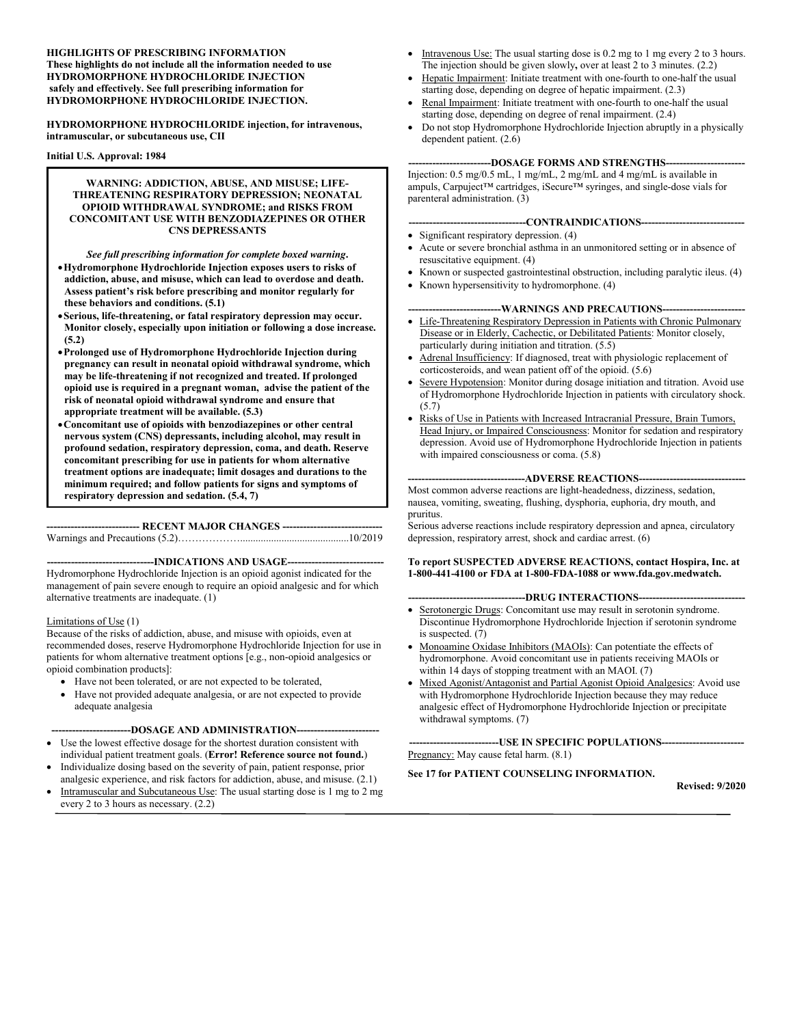#### **HIGHLIGHTS OF PRESCRIBING INFORMATION These highlights do not include all the information needed to use HYDROMORPHONE HYDROCHLORIDE INJECTION safely and effectively. See full prescribing information for HYDROMORPHONE HYDROCHLORIDE INJECTION.**

**HYDROMORPHONE HYDROCHLORIDE injection, for intravenous, intramuscular, or subcutaneous use, CII**

#### **Initial U.S. Approval: 1984**

#### **WARNING: ADDICTION, ABUSE, AND MISUSE; LIFE-THREATENING RESPIRATORY DEPRESSION; NEONATAL OPIOID WITHDRAWAL SYNDROME; and RISKS FROM CONCOMITANT USE WITH BENZODIAZEPINES OR OTHER CNS DEPRESSANTS**

*See full prescribing information for complete boxed warning***. Hydromorphone Hydrochloride Injection exposes users to risks of addiction, abuse, and misuse, which can lead to overdose and death. Assess patient's risk before prescribing and monitor regularly for these behaviors and conditions. (5.1)**

- **Serious, life-threatening, or fatal respiratory depression may occur. Monitor closely, especially upon initiation or following a dose increase. (5.2)**
- **Prolonged use of Hydromorphone Hydrochloride Injection during pregnancy can result in neonatal opioid withdrawal syndrome, which may be life-threatening if not recognized and treated. If prolonged opioid use is required in a pregnant woman, advise the patient of the risk of neonatal opioid withdrawal syndrome and ensure that appropriate treatment will be available. (5.3)**
- **Concomitant use of opioids with benzodiazepines or other central nervous system (CNS) depressants, including alcohol, may result in profound sedation, respiratory depression, coma, and death. Reserve concomitant prescribing for use in patients for whom alternative treatment options are inadequate; limit dosages and durations to the minimum required; and follow patients for signs and symptoms of respiratory depression and sedation. (5.4, 7)**

**--------------------------- RECENT MAJOR CHANGES -----------------------------**

Warnings and Precautions (5.2)………………..........................................10/2019

**-------------------------------INDICATIONS AND USAGE----------------------------**

Hydromorphone Hydrochloride Injection is an opioid agonist indicated for the management of pain severe enough to require an opioid analgesic and for which alternative treatments are inadequate. (1)

#### Limitations of Use (1)

Because of the risks of addiction, abuse, and misuse with opioids, even at recommended doses, reserve Hydromorphone Hydrochloride Injection for use in patients for whom alternative treatment options [e.g., non-opioid analgesics or opioid combination products]:

- Have not been tolerated, or are not expected to be tolerated,
- Have not provided adequate analgesia, or are not expected to provide adequate analgesia

#### **-----------------------DOSAGE AND ADMINISTRATION------------------------**

- Use the lowest effective dosage for the shortest duration consistent with individual patient treatment goals. (**Error! Reference source not found.**)
- Individualize dosing based on the severity of pain, patient response, prior analgesic experience, and risk factors for addiction, abuse, and misuse. (2.1)
- Intramuscular and Subcutaneous Use: The usual starting dose is 1 mg to 2 mg every 2 to 3 hours as necessary. (2.2)
- Intravenous Use: The usual starting dose is 0.2 mg to 1 mg every 2 to 3 hours. The injection should be given slowly**,** over at least 2 to 3 minutes. (2.2)
- Hepatic Impairment: Initiate treatment with one-fourth to one-half the usual starting dose, depending on degree of hepatic impairment. (2.3)
- Renal Impairment: Initiate treatment with one-fourth to one-half the usual starting dose, depending on degree of renal impairment. (2.4)
- Do not stop Hydromorphone Hydrochloride Injection abruptly in a physically dependent patient. (2.6)

#### **------------------------DOSAGE FORMS AND STRENGTHS-----------------------**

Injection: 0.5 mg/0.5 mL, 1 mg/mL, 2 mg/mL and 4 mg/mL is available in ampuls, Carpuject™ cartridges, iSecure™ syringes, and single-dose vials for parenteral administration. (3)

- **----------------------------------CONTRAINDICATIONS------------------------------**
- Significant respiratory depression. (4)
- Acute or severe bronchial asthma in an unmonitored setting or in absence of resuscitative equipment. (4)
- Known or suspected gastrointestinal obstruction, including paralytic ileus. (4)
- Known hypersensitivity to hydromorphone. (4)

#### **---------------------------WARNINGS AND PRECAUTIONS------------------------**

- Life-Threatening Respiratory Depression in Patients with Chronic Pulmonary Disease or in Elderly, Cachectic, or Debilitated Patients: Monitor closely, particularly during initiation and titration. (5.5)
- Adrenal Insufficiency: If diagnosed, treat with physiologic replacement of corticosteroids, and wean patient off of the opioid. (5.6)
- Severe Hypotension: Monitor during dosage initiation and titration. Avoid use of Hydromorphone Hydrochloride Injection in patients with circulatory shock. (5.7)
- Risks of Use in Patients with Increased Intracranial Pressure, Brain Tumors, Head Injury, or Impaired Consciousness: Monitor for sedation and respiratory depression. Avoid use of Hydromorphone Hydrochloride Injection in patients with impaired consciousness or coma.  $(5.8)$

#### **----------------------------------ADVERSE REACTIONS-------------------------------**

Most common adverse reactions are light-headedness, dizziness, sedation, nausea, vomiting, sweating, flushing, dysphoria, euphoria, dry mouth, and pruritus.

Serious adverse reactions include respiratory depression and apnea, circulatory depression, respiratory arrest, shock and cardiac arrest. (6)

#### **To report SUSPECTED ADVERSE REACTIONS, contact Hospira, Inc. at 1-800-441-4100 or FDA at 1-800-FDA-1088 or www.fda.gov.medwatch.**

#### **----------------------------------DRUG INTERACTIONS-------------------------------**

- Serotonergic Drugs: Concomitant use may result in serotonin syndrome. Discontinue Hydromorphone Hydrochloride Injection if serotonin syndrome is suspected. (7)
- Monoamine Oxidase Inhibitors (MAOIs): Can potentiate the effects of hydromorphone. Avoid concomitant use in patients receiving MAOIs or within 14 days of stopping treatment with an MAOI. (7)
- Mixed Agonist/Antagonist and Partial Agonist Opioid Analgesics: Avoid use with Hydromorphone Hydrochloride Injection because they may reduce analgesic effect of Hydromorphone Hydrochloride Injection or precipitate withdrawal symptoms. (7)

**--------------------------USE IN SPECIFIC POPULATIONS------------------------** Pregnancy: May cause fetal harm.  $(8.1)$ 

#### **See 17 for PATIENT COUNSELING INFORMATION.**

**Revised: 9/2020**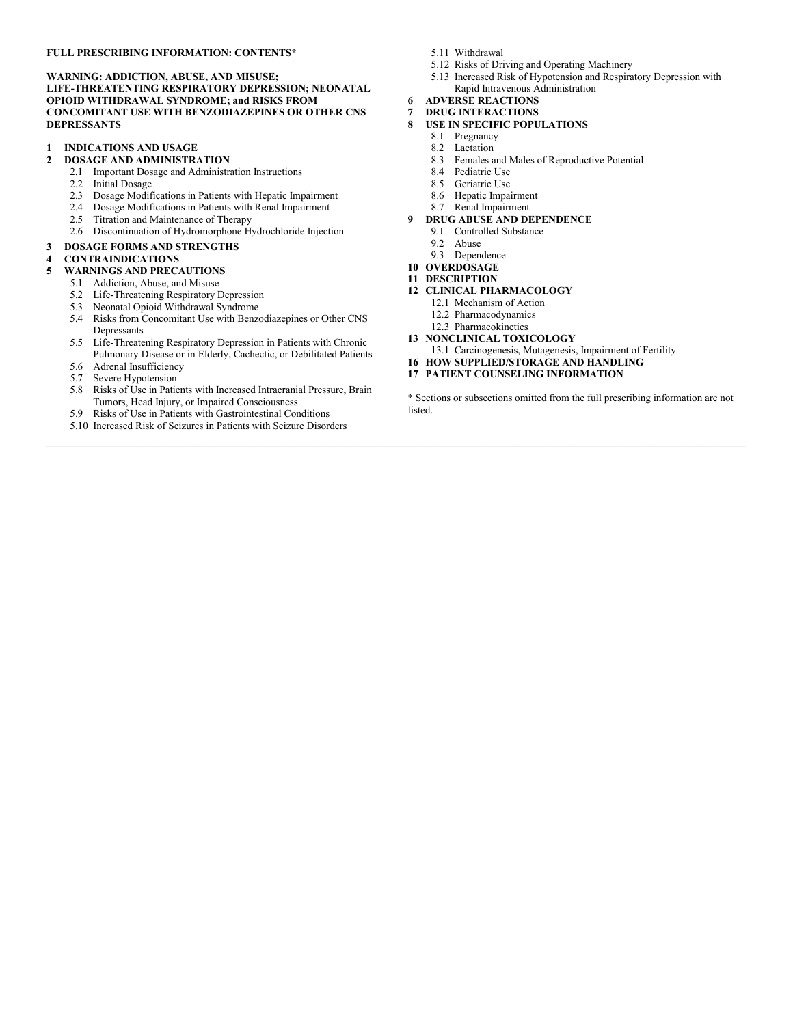#### **FULL PRESCRIBING INFORMATION: CONTENTS\***

#### **WARNING: ADDICTION, ABUSE, AND MISUSE;**

**LIFE-THREATENTING RESPIRATORY DEPRESSION; NEONATAL OPIOID WITHDRAWAL SYNDROME; and RISKS FROM CONCOMITANT USE WITH BENZODIAZEPINES OR OTHER CNS DEPRESSANTS**

- **1 INDICATIONS AND USAGE**
- **2 DOSAGE AND ADMINISTRATION**
	- 2.1 Important Dosage and Administration Instructions
	- 2.2 Initial Dosage<br>2.3 Dosage Modif
	- 2.3 Dosage Modifications in Patients with Hepatic Impairment
	- 2.4 Dosage Modifications in Patients with Renal Impairment
	- 2.5 Titration and Maintenance of Therapy
	- 2.6 Discontinuation of Hydromorphone Hydrochloride Injection
- **3 DOSAGE FORMS AND STRENGTHS**

#### **4 CONTRAINDICATIONS**

- **5 WARNINGS AND PRECAUTIONS**
	- 5.1 Addiction, Abuse, and Misuse
	- 5.2 Life-Threatening Respiratory Depression
	- 5.3 Neonatal Opioid Withdrawal Syndrome
	- 5.4 Risks from Concomitant Use with Benzodiazepines or Other CNS Depressants
	- 5.5 Life-Threatening Respiratory Depression in Patients with Chronic Pulmonary Disease or in Elderly, Cachectic, or Debilitated Patients
	- 5.6 Adrenal Insufficiency
	- 5.7 Severe Hypotension
	- 5.8 Risks of Use in Patients with Increased Intracranial Pressure, Brain Tumors, Head Injury, or Impaired Consciousness
	- 5.9 Risks of Use in Patients with Gastrointestinal Conditions
	- 5.10 Increased Risk of Seizures in Patients with Seizure Disorders
- 5.11 Withdrawal
- 5.12 Risks of Driving and Operating Machinery
- 5.13 Increased Risk of Hypotension and Respiratory Depression with Rapid Intravenous Administration
- **6 ADVERSE REACTIONS**
- **7 DRUG INTERACTIONS**
- **8 USE IN SPECIFIC POPULATIONS**
	- 8.1 Pregnancy
	- 8.2 Lactation
	- 8.3 Females and Males of Reproductive Potential
	- 8.4 Pediatric Use
	- 8.5 Geriatric Use
	- 8.6 Hepatic Impairment
	- 8.7 Renal Impairment
- **9 DRUG ABUSE AND DEPENDENCE**
	- 9.1 Controlled Substance
	- 9.2 Abuse
	- 9.3 Dependence
- **10 OVERDOSAGE**
- **11 DESCRIPTION**

 $\mathcal{L}_\mathcal{L} = \{ \mathcal{L}_\mathcal{L} = \{ \mathcal{L}_\mathcal{L} = \{ \mathcal{L}_\mathcal{L} = \{ \mathcal{L}_\mathcal{L} = \{ \mathcal{L}_\mathcal{L} = \{ \mathcal{L}_\mathcal{L} = \{ \mathcal{L}_\mathcal{L} = \{ \mathcal{L}_\mathcal{L} = \{ \mathcal{L}_\mathcal{L} = \{ \mathcal{L}_\mathcal{L} = \{ \mathcal{L}_\mathcal{L} = \{ \mathcal{L}_\mathcal{L} = \{ \mathcal{L}_\mathcal{L} = \{ \mathcal{L}_\mathcal{$ 

- **12 CLINICAL PHARMACOLOGY**
	- 12.1 Mechanism of Action
	- 12.2 Pharmacodynamics
	- 12.3 Pharmacokinetics
- **13 NONCLINICAL TOXICOLOGY**
- 13.1 Carcinogenesis, Mutagenesis, Impairment of Fertility
- **16 HOW SUPPLIED/STORAGE AND HANDLING**
- **17 PATIENT COUNSELING INFORMATION**

\* Sections or subsections omitted from the full prescribing information are not listed.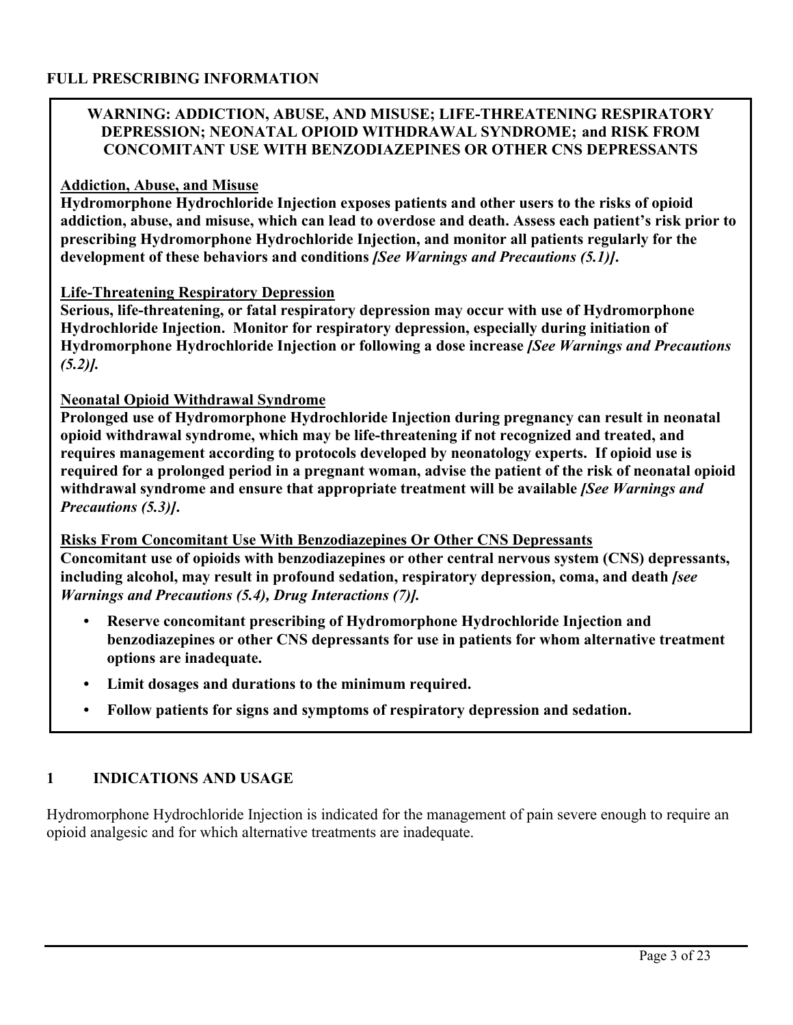### **FULL PRESCRIBING INFORMATION**

#### **WARNING: ADDICTION, ABUSE, AND MISUSE; LIFE-THREATENING RESPIRATORY DEPRESSION; NEONATAL OPIOID WITHDRAWAL SYNDROME; and RISK FROM CONCOMITANT USE WITH BENZODIAZEPINES OR OTHER CNS DEPRESSANTS**

#### **Addiction, Abuse, and Misuse**

**Hydromorphone Hydrochloride Injection exposes patients and other users to the risks of opioid addiction, abuse, and misuse, which can lead to overdose and death. Assess each patient's risk prior to prescribing Hydromorphone Hydrochloride Injection, and monitor all patients regularly for the development of these behaviors and conditions** *[See Warnings and Precautions (5.1)]***.** 

#### **Life-Threatening Respiratory Depression**

**Serious, life-threatening, or fatal respiratory depression may occur with use of Hydromorphone Hydrochloride Injection. Monitor for respiratory depression, especially during initiation of Hydromorphone Hydrochloride Injection or following a dose increase** *[See Warnings and Precautions (5.2)].* 

#### **Neonatal Opioid Withdrawal Syndrome**

**Prolonged use of Hydromorphone Hydrochloride Injection during pregnancy can result in neonatal opioid withdrawal syndrome, which may be life-threatening if not recognized and treated, and requires management according to protocols developed by neonatology experts. If opioid use is required for a prolonged period in a pregnant woman, advise the patient of the risk of neonatal opioid withdrawal syndrome and ensure that appropriate treatment will be available** *[See Warnings and Precautions (5.3)]***.** 

#### **Risks From Concomitant Use With Benzodiazepines Or Other CNS Depressants Concomitant use of opioids with benzodiazepines or other central nervous system (CNS) depressants, including alcohol, may result in profound sedation, respiratory depression, coma, and death** *[see Warnings and Precautions (5.4), Drug Interactions (7)].*

- **• Reserve concomitant prescribing of Hydromorphone Hydrochloride Injection and benzodiazepines or other CNS depressants for use in patients for whom alternative treatment options are inadequate.**
- **• Limit dosages and durations to the minimum required.**
- **• Follow patients for signs and symptoms of respiratory depression and sedation.**

#### **1 INDICATIONS AND USAGE**

Hydromorphone Hydrochloride Injection is indicated for the management of pain severe enough to require an opioid analgesic and for which alternative treatments are inadequate.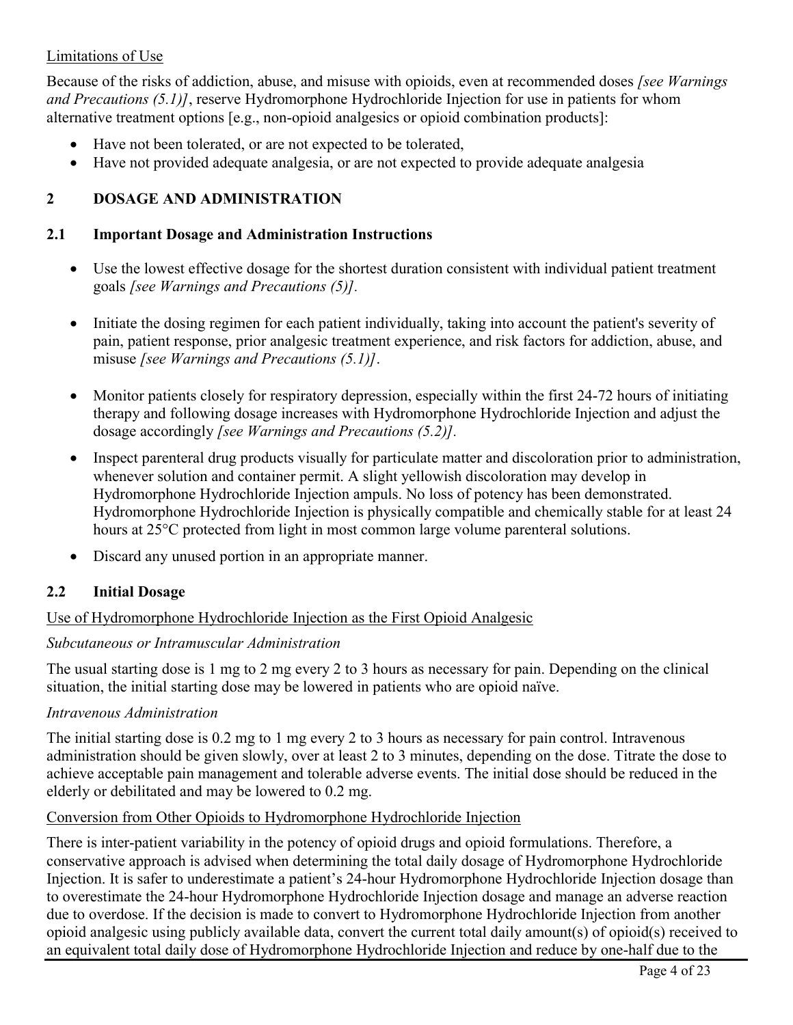### Limitations of Use

Because of the risks of addiction, abuse, and misuse with opioids, even at recommended doses *[see Warnings and Precautions (5.1)]*, reserve Hydromorphone Hydrochloride Injection for use in patients for whom alternative treatment options [e.g., non-opioid analgesics or opioid combination products]:

- Have not been tolerated, or are not expected to be tolerated,
- Have not provided adequate analgesia, or are not expected to provide adequate analgesia

## **2 DOSAGE AND ADMINISTRATION**

#### **2.1 Important Dosage and Administration Instructions**

- Use the lowest effective dosage for the shortest duration consistent with individual patient treatment goals *[see Warnings and Precautions (5)].*
- Initiate the dosing regimen for each patient individually, taking into account the patient's severity of pain, patient response, prior analgesic treatment experience, and risk factors for addiction, abuse, and misuse *[see Warnings and Precautions (5.1)]*.
- Monitor patients closely for respiratory depression, especially within the first 24-72 hours of initiating therapy and following dosage increases with Hydromorphone Hydrochloride Injection and adjust the dosage accordingly *[see Warnings and Precautions (5.2)].*
- Inspect parenteral drug products visually for particulate matter and discoloration prior to administration, whenever solution and container permit. A slight yellowish discoloration may develop in Hydromorphone Hydrochloride Injection ampuls. No loss of potency has been demonstrated. Hydromorphone Hydrochloride Injection is physically compatible and chemically stable for at least 24 hours at 25°C protected from light in most common large volume parenteral solutions.
- Discard any unused portion in an appropriate manner.

#### **2.2 Initial Dosage**

#### Use of Hydromorphone Hydrochloride Injection as the First Opioid Analgesic

#### *Subcutaneous or Intramuscular Administration*

The usual starting dose is 1 mg to 2 mg every 2 to 3 hours as necessary for pain. Depending on the clinical situation, the initial starting dose may be lowered in patients who are opioid naïve.

#### *Intravenous Administration*

The initial starting dose is 0.2 mg to 1 mg every 2 to 3 hours as necessary for pain control. Intravenous administration should be given slowly, over at least 2 to 3 minutes, depending on the dose. Titrate the dose to achieve acceptable pain management and tolerable adverse events. The initial dose should be reduced in the elderly or debilitated and may be lowered to 0.2 mg.

#### Conversion from Other Opioids to Hydromorphone Hydrochloride Injection

There is inter-patient variability in the potency of opioid drugs and opioid formulations. Therefore, a conservative approach is advised when determining the total daily dosage of Hydromorphone Hydrochloride Injection. It is safer to underestimate a patient's 24-hour Hydromorphone Hydrochloride Injection dosage than to overestimate the 24-hour Hydromorphone Hydrochloride Injection dosage and manage an adverse reaction due to overdose. If the decision is made to convert to Hydromorphone Hydrochloride Injection from another opioid analgesic using publicly available data, convert the current total daily amount(s) of opioid(s) received to an equivalent total daily dose of Hydromorphone Hydrochloride Injection and reduce by one-half due to the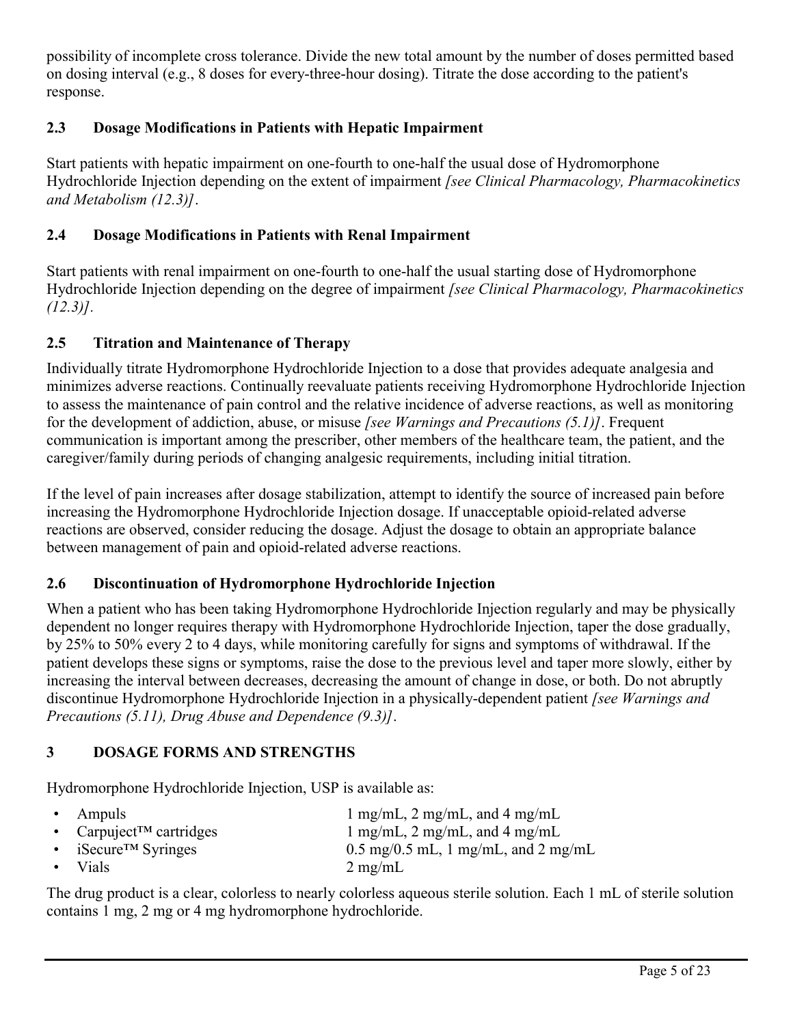possibility of incomplete cross tolerance. Divide the new total amount by the number of doses permitted based on dosing interval (e.g., 8 doses for every-three-hour dosing). Titrate the dose according to the patient's response.

## **2.3 Dosage Modifications in Patients with Hepatic Impairment**

Start patients with hepatic impairment on one-fourth to one-half the usual dose of Hydromorphone Hydrochloride Injection depending on the extent of impairment *[see Clinical Pharmacology, Pharmacokinetics and Metabolism (12.3)]*.

## **2.4 Dosage Modifications in Patients with Renal Impairment**

Start patients with renal impairment on one-fourth to one-half the usual starting dose of Hydromorphone Hydrochloride Injection depending on the degree of impairment *[see Clinical Pharmacology, Pharmacokinetics (12.3)].*

## **2.5 Titration and Maintenance of Therapy**

Individually titrate Hydromorphone Hydrochloride Injection to a dose that provides adequate analgesia and minimizes adverse reactions. Continually reevaluate patients receiving Hydromorphone Hydrochloride Injection to assess the maintenance of pain control and the relative incidence of adverse reactions, as well as monitoring for the development of addiction, abuse, or misuse *[see Warnings and Precautions (5.1)]*. Frequent communication is important among the prescriber, other members of the healthcare team, the patient, and the caregiver/family during periods of changing analgesic requirements, including initial titration.

If the level of pain increases after dosage stabilization, attempt to identify the source of increased pain before increasing the Hydromorphone Hydrochloride Injection dosage. If unacceptable opioid-related adverse reactions are observed, consider reducing the dosage. Adjust the dosage to obtain an appropriate balance between management of pain and opioid-related adverse reactions.

## **2.6 Discontinuation of Hydromorphone Hydrochloride Injection**

When a patient who has been taking Hydromorphone Hydrochloride Injection regularly and may be physically dependent no longer requires therapy with Hydromorphone Hydrochloride Injection, taper the dose gradually, by 25% to 50% every 2 to 4 days, while monitoring carefully for signs and symptoms of withdrawal. If the patient develops these signs or symptoms, raise the dose to the previous level and taper more slowly, either by increasing the interval between decreases, decreasing the amount of change in dose, or both. Do not abruptly discontinue Hydromorphone Hydrochloride Injection in a physically-dependent patient *[see Warnings and Precautions (5.11), Drug Abuse and Dependence (9.3)]*.

## **3 DOSAGE FORMS AND STRENGTHS**

Hydromorphone Hydrochloride Injection, USP is available as:

| • Ampuls                             | 1 mg/mL, 2 mg/mL, and 4 mg/mL                          |
|--------------------------------------|--------------------------------------------------------|
| • Carpuject <sup>TM</sup> cartridges | 1 mg/mL, 2 mg/mL, and 4 mg/mL                          |
| • iSecure <sup>TM</sup> Syringes     | $0.5 \text{ mg}/0.5 \text{ mL}$ , 1 mg/mL, and 2 mg/mL |
| $\bullet$ Vials                      | $2 \text{ mg/mL}$                                      |

The drug product is a clear, colorless to nearly colorless aqueous sterile solution. Each 1 mL of sterile solution contains 1 mg, 2 mg or 4 mg hydromorphone hydrochloride.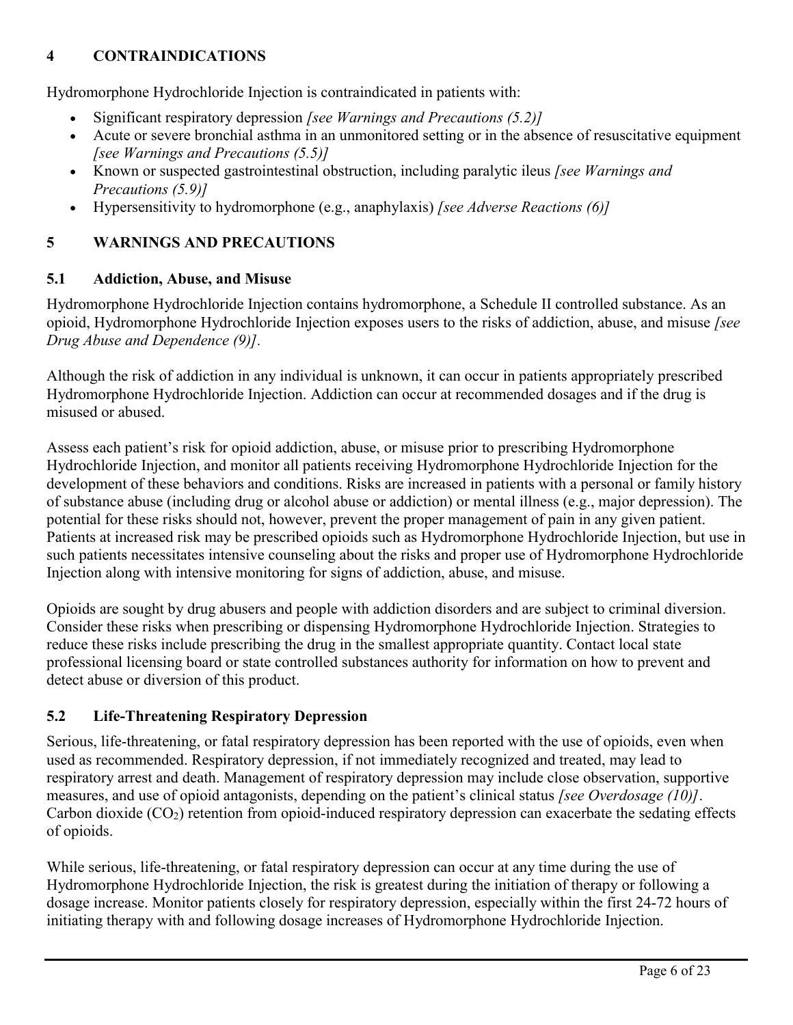## **4 CONTRAINDICATIONS**

Hydromorphone Hydrochloride Injection is contraindicated in patients with:

- Significant respiratory depression *[see Warnings and Precautions (5.2)]*
- Acute or severe bronchial asthma in an unmonitored setting or in the absence of resuscitative equipment *[see Warnings and Precautions (5.5)]*
- Known or suspected gastrointestinal obstruction, including paralytic ileus *[see Warnings and Precautions (5.9)]*
- Hypersensitivity to hydromorphone (e.g., anaphylaxis) *[see Adverse Reactions (6)]*

## **5 WARNINGS AND PRECAUTIONS**

### **5.1 Addiction, Abuse, and Misuse**

Hydromorphone Hydrochloride Injection contains hydromorphone, a Schedule II controlled substance. As an opioid, Hydromorphone Hydrochloride Injection exposes users to the risks of addiction, abuse, and misuse *[see Drug Abuse and Dependence (9)].*

Although the risk of addiction in any individual is unknown, it can occur in patients appropriately prescribed Hydromorphone Hydrochloride Injection. Addiction can occur at recommended dosages and if the drug is misused or abused.

Assess each patient's risk for opioid addiction, abuse, or misuse prior to prescribing Hydromorphone Hydrochloride Injection, and monitor all patients receiving Hydromorphone Hydrochloride Injection for the development of these behaviors and conditions. Risks are increased in patients with a personal or family history of substance abuse (including drug or alcohol abuse or addiction) or mental illness (e.g., major depression). The potential for these risks should not, however, prevent the proper management of pain in any given patient. Patients at increased risk may be prescribed opioids such as Hydromorphone Hydrochloride Injection, but use in such patients necessitates intensive counseling about the risks and proper use of Hydromorphone Hydrochloride Injection along with intensive monitoring for signs of addiction, abuse, and misuse.

Opioids are sought by drug abusers and people with addiction disorders and are subject to criminal diversion. Consider these risks when prescribing or dispensing Hydromorphone Hydrochloride Injection. Strategies to reduce these risks include prescribing the drug in the smallest appropriate quantity. Contact local state professional licensing board or state controlled substances authority for information on how to prevent and detect abuse or diversion of this product.

## **5.2 Life-Threatening Respiratory Depression**

Serious, life-threatening, or fatal respiratory depression has been reported with the use of opioids, even when used as recommended. Respiratory depression, if not immediately recognized and treated, may lead to respiratory arrest and death. Management of respiratory depression may include close observation, supportive measures, and use of opioid antagonists, depending on the patient's clinical status *[see Overdosage (10)]*. Carbon dioxide  $(CO_2)$  retention from opioid-induced respiratory depression can exacerbate the sedating effects of opioids.

While serious, life-threatening, or fatal respiratory depression can occur at any time during the use of Hydromorphone Hydrochloride Injection, the risk is greatest during the initiation of therapy or following a dosage increase. Monitor patients closely for respiratory depression, especially within the first 24-72 hours of initiating therapy with and following dosage increases of Hydromorphone Hydrochloride Injection.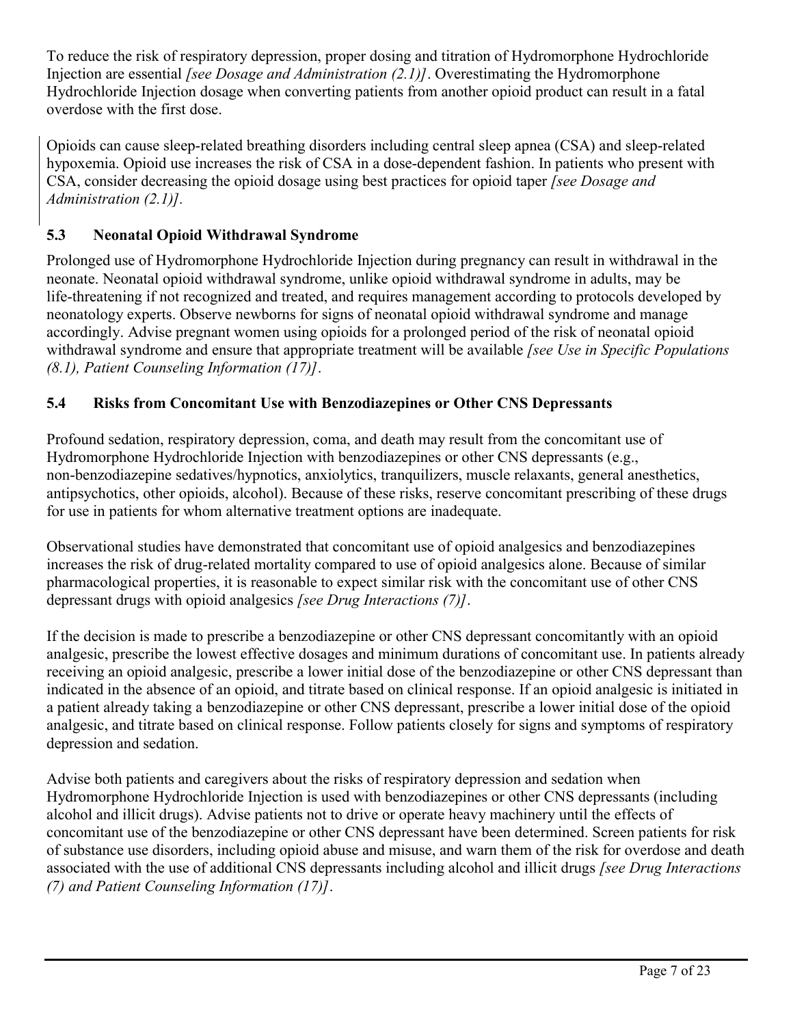To reduce the risk of respiratory depression, proper dosing and titration of Hydromorphone Hydrochloride Injection are essential *[see Dosage and Administration (2.1)]*. Overestimating the Hydromorphone Hydrochloride Injection dosage when converting patients from another opioid product can result in a fatal overdose with the first dose.

Opioids can cause sleep-related breathing disorders including central sleep apnea (CSA) and sleep-related hypoxemia. Opioid use increases the risk of CSA in a dose-dependent fashion. In patients who present with CSA, consider decreasing the opioid dosage using best practices for opioid taper *[see Dosage and Administration (2.1)].*

## **5.3 Neonatal Opioid Withdrawal Syndrome**

Prolonged use of Hydromorphone Hydrochloride Injection during pregnancy can result in withdrawal in the neonate. Neonatal opioid withdrawal syndrome, unlike opioid withdrawal syndrome in adults, may be life-threatening if not recognized and treated, and requires management according to protocols developed by neonatology experts. Observe newborns for signs of neonatal opioid withdrawal syndrome and manage accordingly. Advise pregnant women using opioids for a prolonged period of the risk of neonatal opioid withdrawal syndrome and ensure that appropriate treatment will be available *[see Use in Specific Populations (8.1), Patient Counseling Information (17)]*.

## **5.4 Risks from Concomitant Use with Benzodiazepines or Other CNS Depressants**

Profound sedation, respiratory depression, coma, and death may result from the concomitant use of Hydromorphone Hydrochloride Injection with benzodiazepines or other CNS depressants (e.g., non-benzodiazepine sedatives/hypnotics, anxiolytics, tranquilizers, muscle relaxants, general anesthetics, antipsychotics, other opioids, alcohol). Because of these risks, reserve concomitant prescribing of these drugs for use in patients for whom alternative treatment options are inadequate.

Observational studies have demonstrated that concomitant use of opioid analgesics and benzodiazepines increases the risk of drug-related mortality compared to use of opioid analgesics alone. Because of similar pharmacological properties, it is reasonable to expect similar risk with the concomitant use of other CNS depressant drugs with opioid analgesics *[see Drug Interactions (7)]*.

If the decision is made to prescribe a benzodiazepine or other CNS depressant concomitantly with an opioid analgesic, prescribe the lowest effective dosages and minimum durations of concomitant use. In patients already receiving an opioid analgesic, prescribe a lower initial dose of the benzodiazepine or other CNS depressant than indicated in the absence of an opioid, and titrate based on clinical response. If an opioid analgesic is initiated in a patient already taking a benzodiazepine or other CNS depressant, prescribe a lower initial dose of the opioid analgesic, and titrate based on clinical response. Follow patients closely for signs and symptoms of respiratory depression and sedation.

Advise both patients and caregivers about the risks of respiratory depression and sedation when Hydromorphone Hydrochloride Injection is used with benzodiazepines or other CNS depressants (including alcohol and illicit drugs). Advise patients not to drive or operate heavy machinery until the effects of concomitant use of the benzodiazepine or other CNS depressant have been determined. Screen patients for risk of substance use disorders, including opioid abuse and misuse, and warn them of the risk for overdose and death associated with the use of additional CNS depressants including alcohol and illicit drugs *[see Drug Interactions (7) and Patient Counseling Information (17)]*.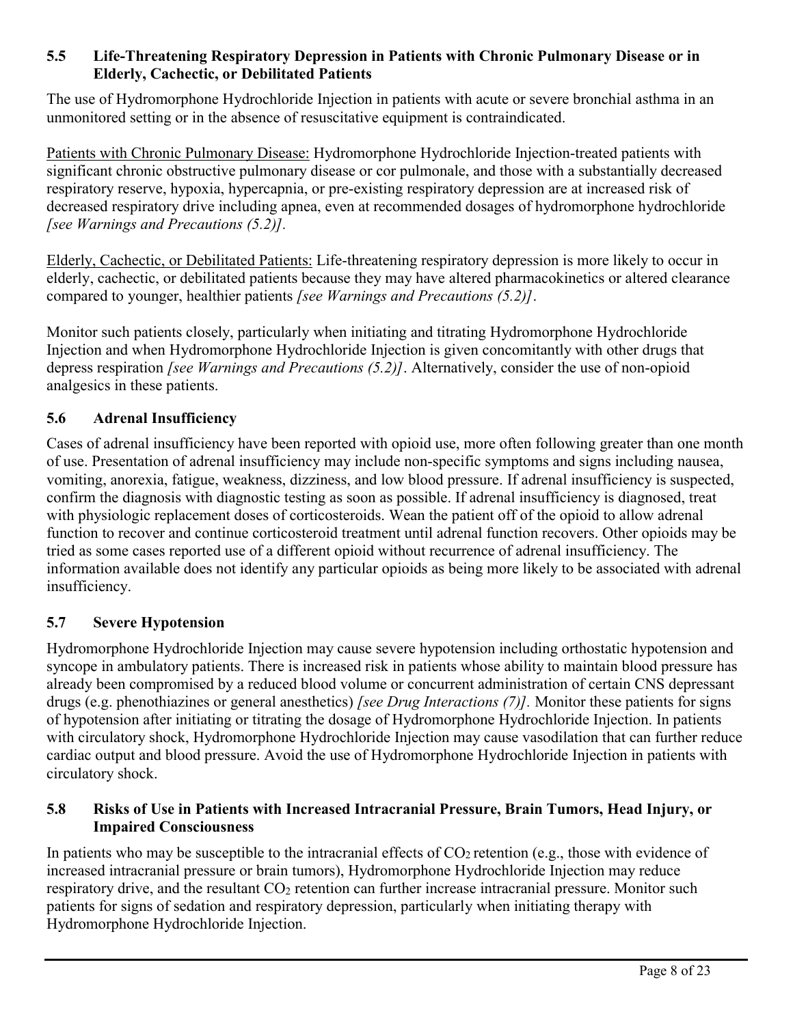### **5.5 Life-Threatening Respiratory Depression in Patients with Chronic Pulmonary Disease or in Elderly, Cachectic, or Debilitated Patients**

The use of Hydromorphone Hydrochloride Injection in patients with acute or severe bronchial asthma in an unmonitored setting or in the absence of resuscitative equipment is contraindicated.

Patients with Chronic Pulmonary Disease: Hydromorphone Hydrochloride Injection-treated patients with significant chronic obstructive pulmonary disease or cor pulmonale, and those with a substantially decreased respiratory reserve, hypoxia, hypercapnia, or pre-existing respiratory depression are at increased risk of decreased respiratory drive including apnea, even at recommended dosages of hydromorphone hydrochloride *[see Warnings and Precautions (5.2)].*

Elderly, Cachectic, or Debilitated Patients: Life-threatening respiratory depression is more likely to occur in elderly, cachectic, or debilitated patients because they may have altered pharmacokinetics or altered clearance compared to younger, healthier patients *[see Warnings and Precautions (5.2)]*.

Monitor such patients closely, particularly when initiating and titrating Hydromorphone Hydrochloride Injection and when Hydromorphone Hydrochloride Injection is given concomitantly with other drugs that depress respiration *[see Warnings and Precautions (5.2)]*. Alternatively, consider the use of non-opioid analgesics in these patients.

## **5.6 Adrenal Insufficiency**

Cases of adrenal insufficiency have been reported with opioid use, more often following greater than one month of use. Presentation of adrenal insufficiency may include non-specific symptoms and signs including nausea, vomiting, anorexia, fatigue, weakness, dizziness, and low blood pressure. If adrenal insufficiency is suspected, confirm the diagnosis with diagnostic testing as soon as possible. If adrenal insufficiency is diagnosed, treat with physiologic replacement doses of corticosteroids. Wean the patient off of the opioid to allow adrenal function to recover and continue corticosteroid treatment until adrenal function recovers. Other opioids may be tried as some cases reported use of a different opioid without recurrence of adrenal insufficiency. The information available does not identify any particular opioids as being more likely to be associated with adrenal insufficiency.

## **5.7 Severe Hypotension**

Hydromorphone Hydrochloride Injection may cause severe hypotension including orthostatic hypotension and syncope in ambulatory patients. There is increased risk in patients whose ability to maintain blood pressure has already been compromised by a reduced blood volume or concurrent administration of certain CNS depressant drugs (e.g. phenothiazines or general anesthetics) *[see Drug Interactions (7)].* Monitor these patients for signs of hypotension after initiating or titrating the dosage of Hydromorphone Hydrochloride Injection. In patients with circulatory shock, Hydromorphone Hydrochloride Injection may cause vasodilation that can further reduce cardiac output and blood pressure. Avoid the use of Hydromorphone Hydrochloride Injection in patients with circulatory shock.

#### **5.8 Risks of Use in Patients with Increased Intracranial Pressure, Brain Tumors, Head Injury, or Impaired Consciousness**

In patients who may be susceptible to the intracranial effects of  $CO<sub>2</sub>$  retention (e.g., those with evidence of increased intracranial pressure or brain tumors), Hydromorphone Hydrochloride Injection may reduce respiratory drive, and the resultant CO<sub>2</sub> retention can further increase intracranial pressure. Monitor such patients for signs of sedation and respiratory depression, particularly when initiating therapy with Hydromorphone Hydrochloride Injection.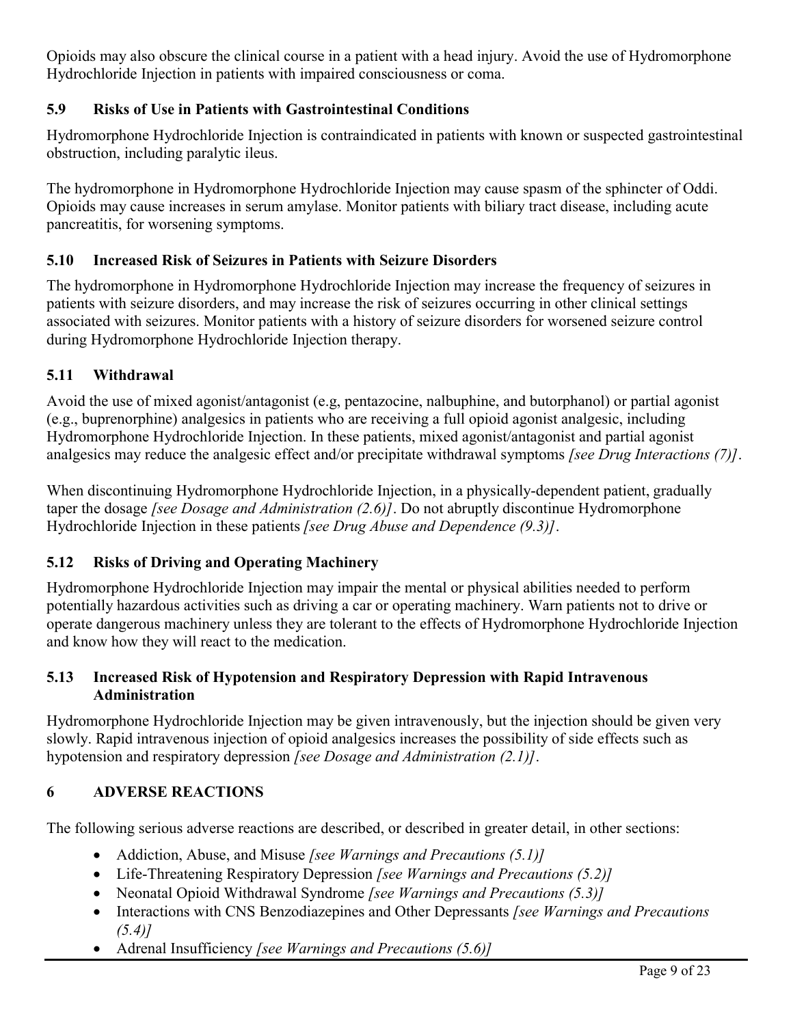Opioids may also obscure the clinical course in a patient with a head injury. Avoid the use of Hydromorphone Hydrochloride Injection in patients with impaired consciousness or coma.

## **5.9 Risks of Use in Patients with Gastrointestinal Conditions**

Hydromorphone Hydrochloride Injection is contraindicated in patients with known or suspected gastrointestinal obstruction, including paralytic ileus.

The hydromorphone in Hydromorphone Hydrochloride Injection may cause spasm of the sphincter of Oddi. Opioids may cause increases in serum amylase. Monitor patients with biliary tract disease, including acute pancreatitis, for worsening symptoms.

## **5.10 Increased Risk of Seizures in Patients with Seizure Disorders**

The hydromorphone in Hydromorphone Hydrochloride Injection may increase the frequency of seizures in patients with seizure disorders, and may increase the risk of seizures occurring in other clinical settings associated with seizures. Monitor patients with a history of seizure disorders for worsened seizure control during Hydromorphone Hydrochloride Injection therapy.

## **5.11 Withdrawal**

Avoid the use of mixed agonist/antagonist (e.g, pentazocine, nalbuphine, and butorphanol) or partial agonist (e.g., buprenorphine) analgesics in patients who are receiving a full opioid agonist analgesic, including Hydromorphone Hydrochloride Injection. In these patients, mixed agonist/antagonist and partial agonist analgesics may reduce the analgesic effect and/or precipitate withdrawal symptoms *[see Drug Interactions (7)]*.

When discontinuing Hydromorphone Hydrochloride Injection, in a physically-dependent patient, gradually taper the dosage *[see Dosage and Administration (2.6)]*. Do not abruptly discontinue Hydromorphone Hydrochloride Injection in these patients *[see Drug Abuse and Dependence (9.3)]*.

## **5.12 Risks of Driving and Operating Machinery**

Hydromorphone Hydrochloride Injection may impair the mental or physical abilities needed to perform potentially hazardous activities such as driving a car or operating machinery. Warn patients not to drive or operate dangerous machinery unless they are tolerant to the effects of Hydromorphone Hydrochloride Injection and know how they will react to the medication.

### **5.13 Increased Risk of Hypotension and Respiratory Depression with Rapid Intravenous Administration**

Hydromorphone Hydrochloride Injection may be given intravenously, but the injection should be given very slowly. Rapid intravenous injection of opioid analgesics increases the possibility of side effects such as hypotension and respiratory depression *[see Dosage and Administration (2.1)]*.

## **6 ADVERSE REACTIONS**

The following serious adverse reactions are described, or described in greater detail, in other sections:

- Addiction, Abuse, and Misuse *[see Warnings and Precautions (5.1)]*
- Life-Threatening Respiratory Depression *[see Warnings and Precautions (5.2)]*
- Neonatal Opioid Withdrawal Syndrome *[see Warnings and Precautions (5.3)]*
- Interactions with CNS Benzodiazepines and Other Depressants *[see Warnings and Precautions (5.4)]*
- Adrenal Insufficiency *[see Warnings and Precautions (5.6)]*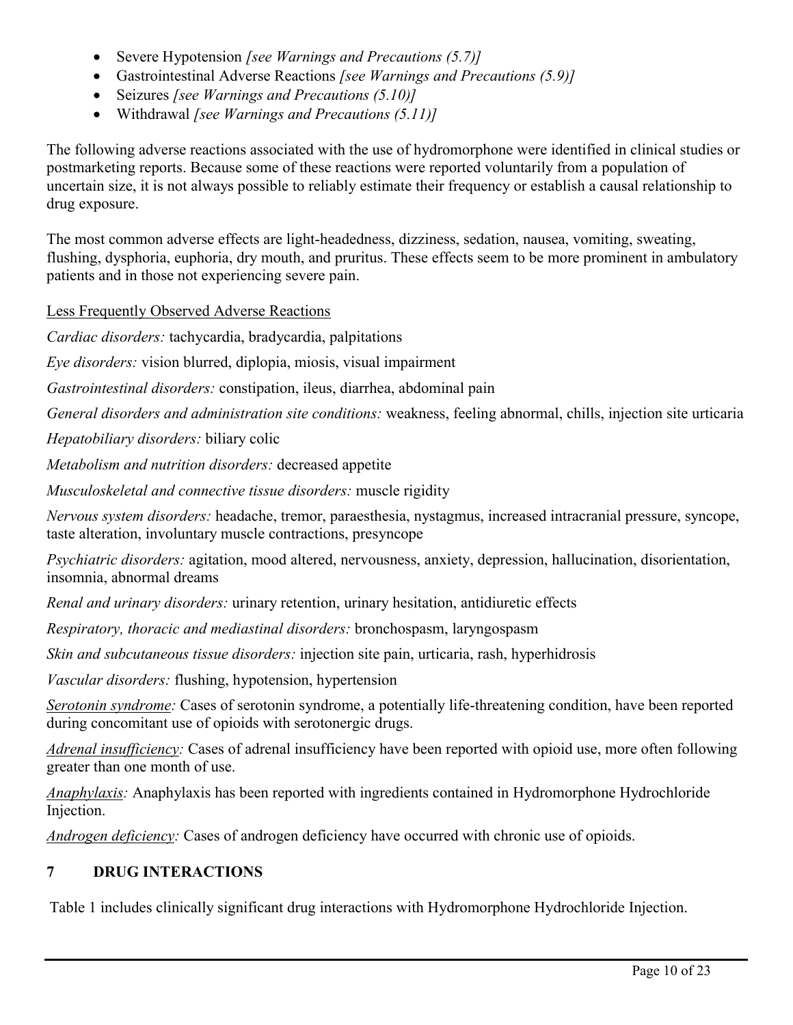- Severe Hypotension *[see Warnings and Precautions (5.7)]*
- Gastrointestinal Adverse Reactions *[see Warnings and Precautions (5.9)]*
- Seizures *[see Warnings and Precautions (5.10)]*
- Withdrawal *[see Warnings and Precautions (5.11)]*

The following adverse reactions associated with the use of hydromorphone were identified in clinical studies or postmarketing reports. Because some of these reactions were reported voluntarily from a population of uncertain size, it is not always possible to reliably estimate their frequency or establish a causal relationship to drug exposure.

The most common adverse effects are light-headedness, dizziness, sedation, nausea, vomiting, sweating, flushing, dysphoria, euphoria, dry mouth, and pruritus. These effects seem to be more prominent in ambulatory patients and in those not experiencing severe pain.

Less Frequently Observed Adverse Reactions

*Cardiac disorders:* tachycardia, bradycardia, palpitations

*Eye disorders:* vision blurred, diplopia, miosis, visual impairment

*Gastrointestinal disorders:* constipation, ileus, diarrhea, abdominal pain

*General disorders and administration site conditions:* weakness, feeling abnormal, chills, injection site urticaria

*Hepatobiliary disorders:* biliary colic

*Metabolism and nutrition disorders:* decreased appetite

*Musculoskeletal and connective tissue disorders:* muscle rigidity

*Nervous system disorders:* headache, tremor, paraesthesia, nystagmus, increased intracranial pressure, syncope, taste alteration, involuntary muscle contractions, presyncope

*Psychiatric disorders:* agitation, mood altered, nervousness, anxiety, depression, hallucination, disorientation, insomnia, abnormal dreams

*Renal and urinary disorders:* urinary retention, urinary hesitation, antidiuretic effects

*Respiratory, thoracic and mediastinal disorders:* bronchospasm, laryngospasm

*Skin and subcutaneous tissue disorders:* injection site pain, urticaria, rash, hyperhidrosis

*Vascular disorders:* flushing, hypotension, hypertension

*Serotonin syndrome:* Cases of serotonin syndrome, a potentially life-threatening condition, have been reported during concomitant use of opioids with serotonergic drugs.

*Adrenal insufficiency:* Cases of adrenal insufficiency have been reported with opioid use, more often following greater than one month of use.

*Anaphylaxis:* Anaphylaxis has been reported with ingredients contained in Hydromorphone Hydrochloride Injection.

*Androgen deficiency:* Cases of androgen deficiency have occurred with chronic use of opioids.

#### **7 DRUG INTERACTIONS**

Table 1 includes clinically significant drug interactions with Hydromorphone Hydrochloride Injection.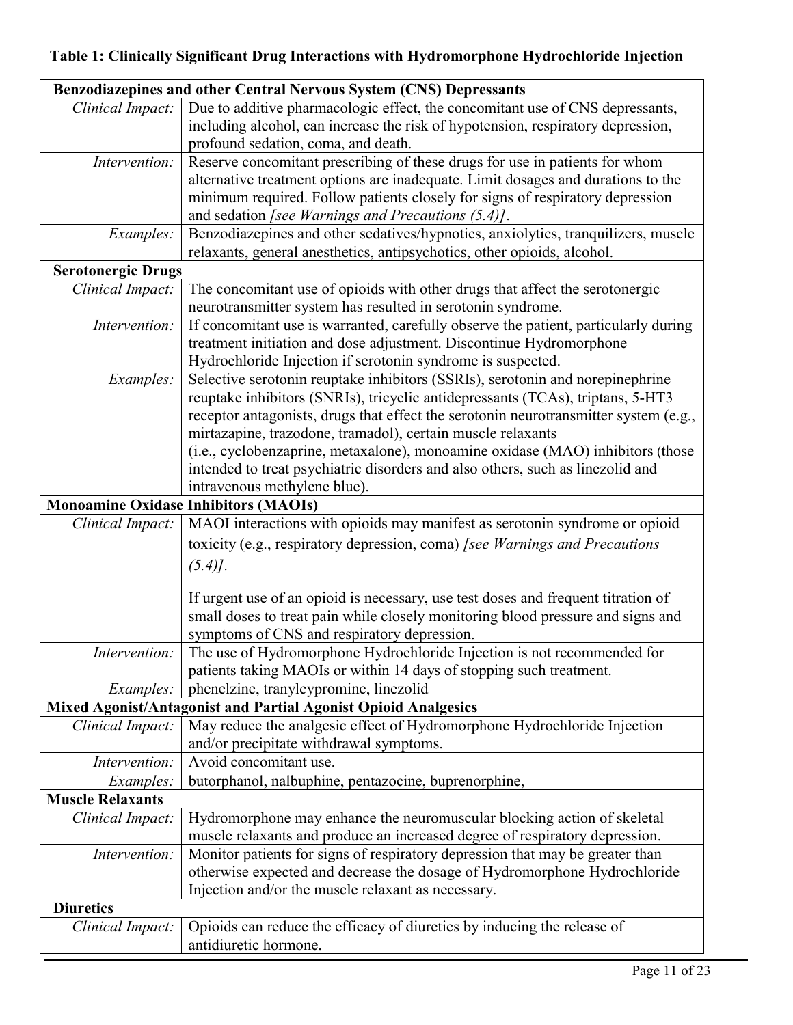# **Table 1: Clinically Significant Drug Interactions with Hydromorphone Hydrochloride Injection**

| Benzodiazepines and other Central Nervous System (CNS) Depressants                                                           |                                                                                                                                                |  |  |  |  |
|------------------------------------------------------------------------------------------------------------------------------|------------------------------------------------------------------------------------------------------------------------------------------------|--|--|--|--|
| Clinical Impact:                                                                                                             | Due to additive pharmacologic effect, the concomitant use of CNS depressants,                                                                  |  |  |  |  |
|                                                                                                                              | including alcohol, can increase the risk of hypotension, respiratory depression,                                                               |  |  |  |  |
|                                                                                                                              | profound sedation, coma, and death.                                                                                                            |  |  |  |  |
| Intervention:                                                                                                                | Reserve concomitant prescribing of these drugs for use in patients for whom                                                                    |  |  |  |  |
|                                                                                                                              | alternative treatment options are inadequate. Limit dosages and durations to the                                                               |  |  |  |  |
|                                                                                                                              | minimum required. Follow patients closely for signs of respiratory depression                                                                  |  |  |  |  |
|                                                                                                                              | and sedation [see Warnings and Precautions (5.4)].                                                                                             |  |  |  |  |
| Examples:                                                                                                                    | Benzodiazepines and other sedatives/hypnotics, anxiolytics, tranquilizers, muscle                                                              |  |  |  |  |
|                                                                                                                              | relaxants, general anesthetics, antipsychotics, other opioids, alcohol.                                                                        |  |  |  |  |
| <b>Serotonergic Drugs</b>                                                                                                    |                                                                                                                                                |  |  |  |  |
| Clinical Impact:                                                                                                             | The concomitant use of opioids with other drugs that affect the serotonergic                                                                   |  |  |  |  |
|                                                                                                                              | neurotransmitter system has resulted in serotonin syndrome.                                                                                    |  |  |  |  |
| Intervention:                                                                                                                | If concomitant use is warranted, carefully observe the patient, particularly during                                                            |  |  |  |  |
|                                                                                                                              | treatment initiation and dose adjustment. Discontinue Hydromorphone                                                                            |  |  |  |  |
|                                                                                                                              | Hydrochloride Injection if serotonin syndrome is suspected.                                                                                    |  |  |  |  |
| Examples:                                                                                                                    | Selective serotonin reuptake inhibitors (SSRIs), serotonin and norepinephrine                                                                  |  |  |  |  |
|                                                                                                                              | reuptake inhibitors (SNRIs), tricyclic antidepressants (TCAs), triptans, 5-HT3                                                                 |  |  |  |  |
|                                                                                                                              | receptor antagonists, drugs that effect the serotonin neurotransmitter system (e.g.,                                                           |  |  |  |  |
|                                                                                                                              | mirtazapine, trazodone, tramadol), certain muscle relaxants                                                                                    |  |  |  |  |
|                                                                                                                              | (i.e., cyclobenzaprine, metaxalone), monoamine oxidase (MAO) inhibitors (those                                                                 |  |  |  |  |
|                                                                                                                              | intended to treat psychiatric disorders and also others, such as linezolid and                                                                 |  |  |  |  |
|                                                                                                                              | intravenous methylene blue).                                                                                                                   |  |  |  |  |
| <b>Monoamine Oxidase Inhibitors (MAOIs)</b>                                                                                  |                                                                                                                                                |  |  |  |  |
| Clinical Impact:                                                                                                             | MAOI interactions with opioids may manifest as serotonin syndrome or opioid                                                                    |  |  |  |  |
|                                                                                                                              | toxicity (e.g., respiratory depression, coma) [see Warnings and Precautions                                                                    |  |  |  |  |
|                                                                                                                              | $(5.4)$ .                                                                                                                                      |  |  |  |  |
|                                                                                                                              |                                                                                                                                                |  |  |  |  |
|                                                                                                                              | If urgent use of an opioid is necessary, use test doses and frequent titration of                                                              |  |  |  |  |
|                                                                                                                              | small doses to treat pain while closely monitoring blood pressure and signs and                                                                |  |  |  |  |
|                                                                                                                              | symptoms of CNS and respiratory depression.                                                                                                    |  |  |  |  |
| Intervention:                                                                                                                | The use of Hydromorphone Hydrochloride Injection is not recommended for<br>patients taking MAOIs or within 14 days of stopping such treatment. |  |  |  |  |
|                                                                                                                              |                                                                                                                                                |  |  |  |  |
| phenelzine, tranylcypromine, linezolid<br><i>Examples:</i><br>Mixed Agonist/Antagonist and Partial Agonist Opioid Analgesics |                                                                                                                                                |  |  |  |  |
| May reduce the analgesic effect of Hydromorphone Hydrochloride Injection<br>Clinical Impact:                                 |                                                                                                                                                |  |  |  |  |
|                                                                                                                              | and/or precipitate withdrawal symptoms.                                                                                                        |  |  |  |  |
| Intervention:                                                                                                                | Avoid concomitant use.                                                                                                                         |  |  |  |  |
|                                                                                                                              | butorphanol, nalbuphine, pentazocine, buprenorphine,                                                                                           |  |  |  |  |
| Examples:<br><b>Muscle Relaxants</b>                                                                                         |                                                                                                                                                |  |  |  |  |
| Hydromorphone may enhance the neuromuscular blocking action of skeletal                                                      |                                                                                                                                                |  |  |  |  |
| Clinical Impact:                                                                                                             | muscle relaxants and produce an increased degree of respiratory depression.                                                                    |  |  |  |  |
| Intervention:                                                                                                                | Monitor patients for signs of respiratory depression that may be greater than                                                                  |  |  |  |  |
|                                                                                                                              | otherwise expected and decrease the dosage of Hydromorphone Hydrochloride                                                                      |  |  |  |  |
|                                                                                                                              | Injection and/or the muscle relaxant as necessary.                                                                                             |  |  |  |  |
| <b>Diuretics</b>                                                                                                             |                                                                                                                                                |  |  |  |  |
| Opioids can reduce the efficacy of diuretics by inducing the release of<br>Clinical Impact:                                  |                                                                                                                                                |  |  |  |  |
|                                                                                                                              | antidiuretic hormone.                                                                                                                          |  |  |  |  |
|                                                                                                                              |                                                                                                                                                |  |  |  |  |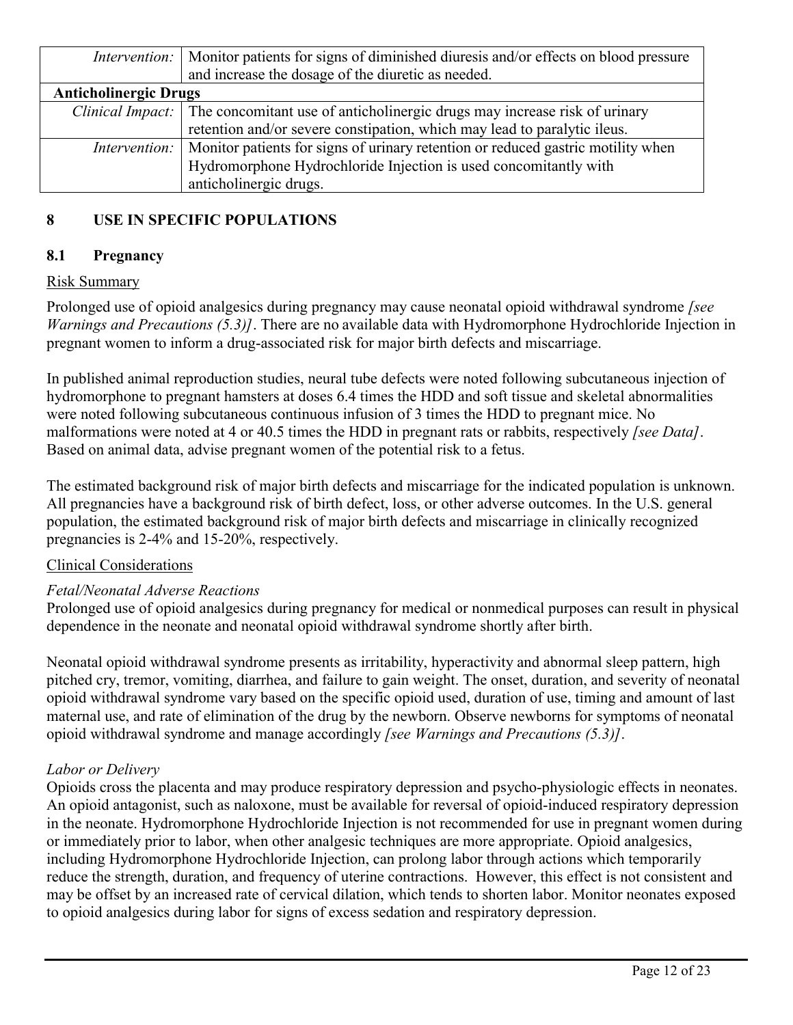|                              | <i>Intervention:</i>   Monitor patients for signs of diminished diuresis and/or effects on blood pressure<br>and increase the dosage of the diuretic as needed. |  |  |  |
|------------------------------|-----------------------------------------------------------------------------------------------------------------------------------------------------------------|--|--|--|
| <b>Anticholinergic Drugs</b> |                                                                                                                                                                 |  |  |  |
|                              | <i>Clinical Impact:</i> The concomitant use of anticholinergic drugs may increase risk of urinary                                                               |  |  |  |
|                              | retention and/or severe constipation, which may lead to paralytic ileus.                                                                                        |  |  |  |
|                              | <i>Intervention:</i>   Monitor patients for signs of urinary retention or reduced gastric motility when                                                         |  |  |  |
|                              | Hydromorphone Hydrochloride Injection is used concomitantly with                                                                                                |  |  |  |
|                              | anticholinergic drugs.                                                                                                                                          |  |  |  |

## **8 USE IN SPECIFIC POPULATIONS**

## **8.1 Pregnancy**

### Risk Summary

Prolonged use of opioid analgesics during pregnancy may cause neonatal opioid withdrawal syndrome *[see Warnings and Precautions (5.3)]*. There are no available data with Hydromorphone Hydrochloride Injection in pregnant women to inform a drug-associated risk for major birth defects and miscarriage.

In published animal reproduction studies, neural tube defects were noted following subcutaneous injection of hydromorphone to pregnant hamsters at doses 6.4 times the HDD and soft tissue and skeletal abnormalities were noted following subcutaneous continuous infusion of 3 times the HDD to pregnant mice. No malformations were noted at 4 or 40.5 times the HDD in pregnant rats or rabbits, respectively *[see Data]*. Based on animal data, advise pregnant women of the potential risk to a fetus.

The estimated background risk of major birth defects and miscarriage for the indicated population is unknown. All pregnancies have a background risk of birth defect, loss, or other adverse outcomes. In the U.S. general population, the estimated background risk of major birth defects and miscarriage in clinically recognized pregnancies is 2-4% and 15-20%, respectively.

#### Clinical Considerations

#### *Fetal/Neonatal Adverse Reactions*

Prolonged use of opioid analgesics during pregnancy for medical or nonmedical purposes can result in physical dependence in the neonate and neonatal opioid withdrawal syndrome shortly after birth.

Neonatal opioid withdrawal syndrome presents as irritability, hyperactivity and abnormal sleep pattern, high pitched cry, tremor, vomiting, diarrhea, and failure to gain weight. The onset, duration, and severity of neonatal opioid withdrawal syndrome vary based on the specific opioid used, duration of use, timing and amount of last maternal use, and rate of elimination of the drug by the newborn. Observe newborns for symptoms of neonatal opioid withdrawal syndrome and manage accordingly *[see Warnings and Precautions (5.3)]*.

#### *Labor or Delivery*

Opioids cross the placenta and may produce respiratory depression and psycho-physiologic effects in neonates. An opioid antagonist, such as naloxone, must be available for reversal of opioid-induced respiratory depression in the neonate. Hydromorphone Hydrochloride Injection is not recommended for use in pregnant women during or immediately prior to labor, when other analgesic techniques are more appropriate. Opioid analgesics, including Hydromorphone Hydrochloride Injection, can prolong labor through actions which temporarily reduce the strength, duration, and frequency of uterine contractions. However, this effect is not consistent and may be offset by an increased rate of cervical dilation, which tends to shorten labor. Monitor neonates exposed to opioid analgesics during labor for signs of excess sedation and respiratory depression.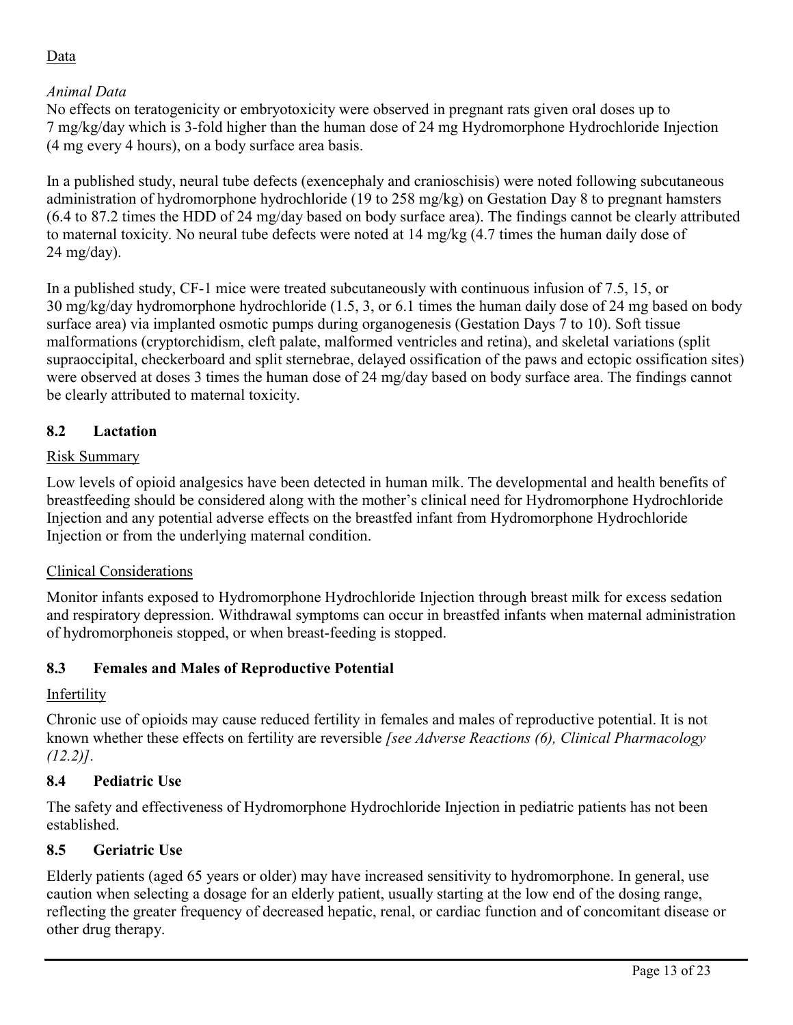## Data

## *Animal Data*

No effects on teratogenicity or embryotoxicity were observed in pregnant rats given oral doses up to 7 mg/kg/day which is 3-fold higher than the human dose of 24 mg Hydromorphone Hydrochloride Injection (4 mg every 4 hours), on a body surface area basis.

In a published study, neural tube defects (exencephaly and cranioschisis) were noted following subcutaneous administration of hydromorphone hydrochloride (19 to 258 mg/kg) on Gestation Day 8 to pregnant hamsters (6.4 to 87.2 times the HDD of 24 mg/day based on body surface area). The findings cannot be clearly attributed to maternal toxicity. No neural tube defects were noted at 14 mg/kg (4.7 times the human daily dose of 24 mg/day).

In a published study, CF-1 mice were treated subcutaneously with continuous infusion of 7.5, 15, or 30 mg/kg/day hydromorphone hydrochloride (1.5, 3, or 6.1 times the human daily dose of 24 mg based on body surface area) via implanted osmotic pumps during organogenesis (Gestation Days 7 to 10). Soft tissue malformations (cryptorchidism, cleft palate, malformed ventricles and retina), and skeletal variations (split supraoccipital, checkerboard and split sternebrae, delayed ossification of the paws and ectopic ossification sites) were observed at doses 3 times the human dose of 24 mg/day based on body surface area. The findings cannot be clearly attributed to maternal toxicity.

### **8.2 Lactation**

### Risk Summary

Low levels of opioid analgesics have been detected in human milk. The developmental and health benefits of breastfeeding should be considered along with the mother's clinical need for Hydromorphone Hydrochloride Injection and any potential adverse effects on the breastfed infant from Hydromorphone Hydrochloride Injection or from the underlying maternal condition.

#### Clinical Considerations

Monitor infants exposed to Hydromorphone Hydrochloride Injection through breast milk for excess sedation and respiratory depression. Withdrawal symptoms can occur in breastfed infants when maternal administration of hydromorphoneis stopped, or when breast-feeding is stopped.

## **8.3 Females and Males of Reproductive Potential**

#### Infertility

Chronic use of opioids may cause reduced fertility in females and males of reproductive potential. It is not known whether these effects on fertility are reversible *[see Adverse Reactions (6), Clinical Pharmacology (12.2)].*

## **8.4 Pediatric Use**

The safety and effectiveness of Hydromorphone Hydrochloride Injection in pediatric patients has not been established.

## **8.5 Geriatric Use**

Elderly patients (aged 65 years or older) may have increased sensitivity to hydromorphone. In general, use caution when selecting a dosage for an elderly patient, usually starting at the low end of the dosing range, reflecting the greater frequency of decreased hepatic, renal, or cardiac function and of concomitant disease or other drug therapy.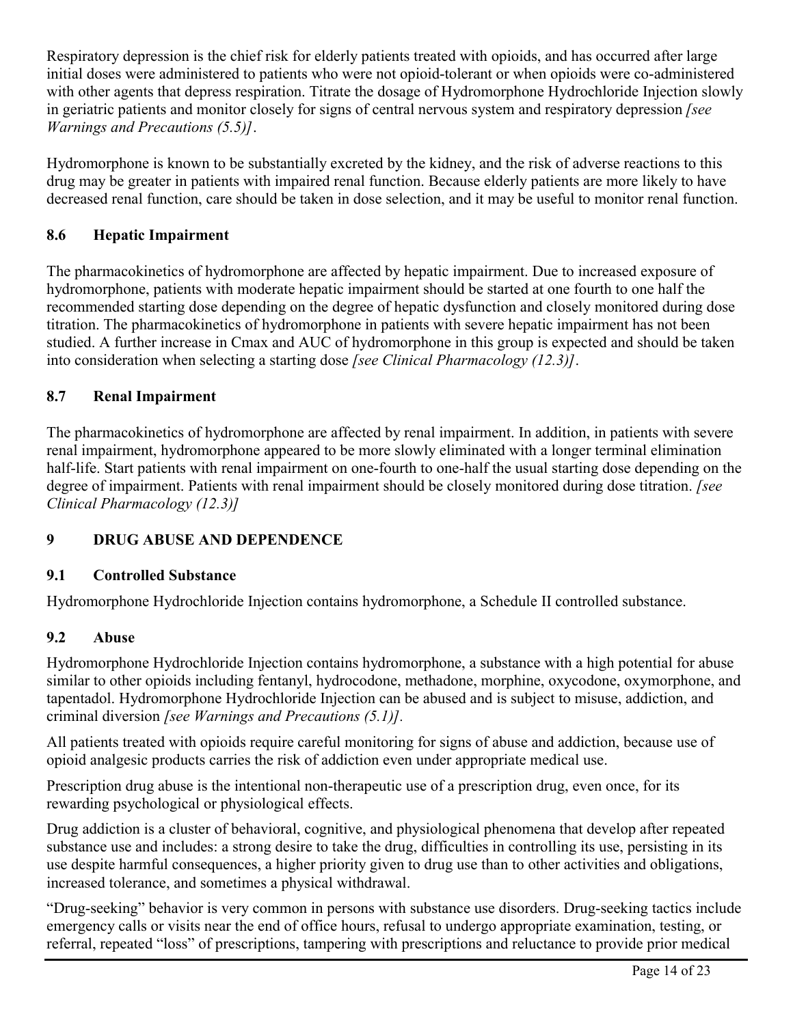Respiratory depression is the chief risk for elderly patients treated with opioids, and has occurred after large initial doses were administered to patients who were not opioid-tolerant or when opioids were co-administered with other agents that depress respiration. Titrate the dosage of Hydromorphone Hydrochloride Injection slowly in geriatric patients and monitor closely for signs of central nervous system and respiratory depression *[see Warnings and Precautions (5.5)]*.

Hydromorphone is known to be substantially excreted by the kidney, and the risk of adverse reactions to this drug may be greater in patients with impaired renal function. Because elderly patients are more likely to have decreased renal function, care should be taken in dose selection, and it may be useful to monitor renal function.

## **8.6 Hepatic Impairment**

The pharmacokinetics of hydromorphone are affected by hepatic impairment. Due to increased exposure of hydromorphone, patients with moderate hepatic impairment should be started at one fourth to one half the recommended starting dose depending on the degree of hepatic dysfunction and closely monitored during dose titration. The pharmacokinetics of hydromorphone in patients with severe hepatic impairment has not been studied. A further increase in Cmax and AUC of hydromorphone in this group is expected and should be taken into consideration when selecting a starting dose *[see Clinical Pharmacology (12.3)]*.

## **8.7 Renal Impairment**

The pharmacokinetics of hydromorphone are affected by renal impairment. In addition, in patients with severe renal impairment, hydromorphone appeared to be more slowly eliminated with a longer terminal elimination half-life. Start patients with renal impairment on one-fourth to one-half the usual starting dose depending on the degree of impairment. Patients with renal impairment should be closely monitored during dose titration. *[see Clinical Pharmacology (12.3)]*

## **9 DRUG ABUSE AND DEPENDENCE**

#### **9.1 Controlled Substance**

Hydromorphone Hydrochloride Injection contains hydromorphone, a Schedule II controlled substance.

#### **9.2 Abuse**

Hydromorphone Hydrochloride Injection contains hydromorphone, a substance with a high potential for abuse similar to other opioids including fentanyl, hydrocodone, methadone, morphine, oxycodone, oxymorphone, and tapentadol. Hydromorphone Hydrochloride Injection can be abused and is subject to misuse, addiction, and criminal diversion *[see Warnings and Precautions (5.1)].*

All patients treated with opioids require careful monitoring for signs of abuse and addiction, because use of opioid analgesic products carries the risk of addiction even under appropriate medical use.

Prescription drug abuse is the intentional non-therapeutic use of a prescription drug, even once, for its rewarding psychological or physiological effects.

Drug addiction is a cluster of behavioral, cognitive, and physiological phenomena that develop after repeated substance use and includes: a strong desire to take the drug, difficulties in controlling its use, persisting in its use despite harmful consequences, a higher priority given to drug use than to other activities and obligations, increased tolerance, and sometimes a physical withdrawal.

"Drug-seeking" behavior is very common in persons with substance use disorders. Drug-seeking tactics include emergency calls or visits near the end of office hours, refusal to undergo appropriate examination, testing, or referral, repeated "loss" of prescriptions, tampering with prescriptions and reluctance to provide prior medical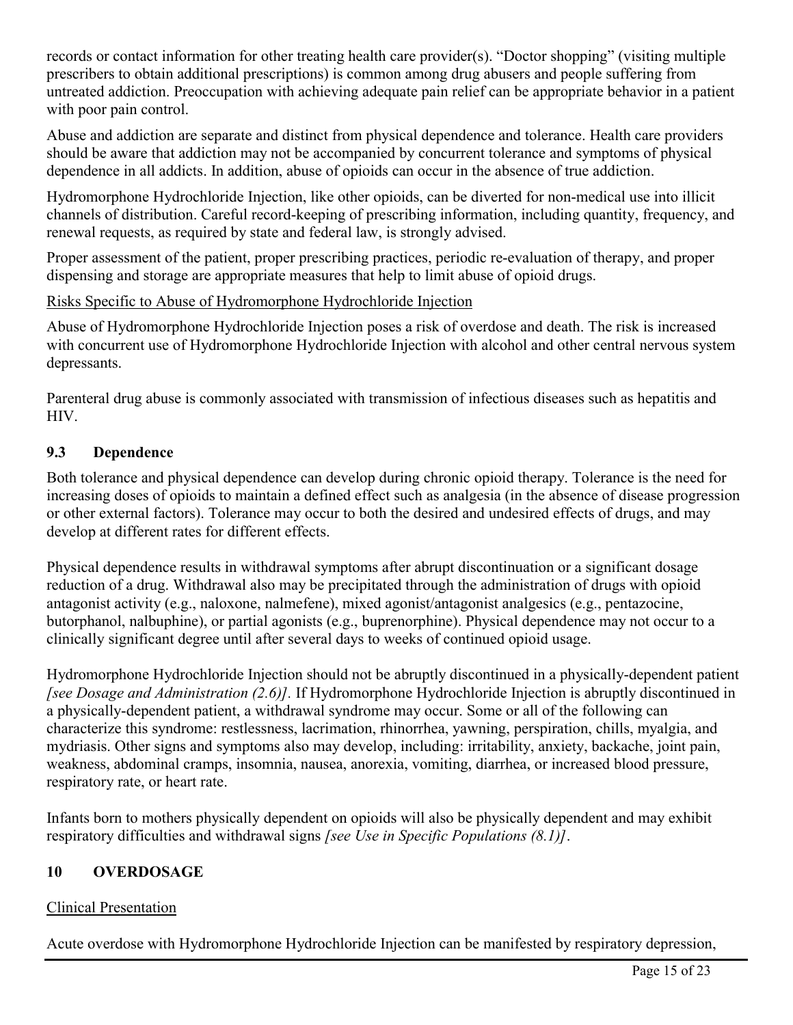records or contact information for other treating health care provider(s). "Doctor shopping" (visiting multiple prescribers to obtain additional prescriptions) is common among drug abusers and people suffering from untreated addiction. Preoccupation with achieving adequate pain relief can be appropriate behavior in a patient with poor pain control.

Abuse and addiction are separate and distinct from physical dependence and tolerance. Health care providers should be aware that addiction may not be accompanied by concurrent tolerance and symptoms of physical dependence in all addicts. In addition, abuse of opioids can occur in the absence of true addiction.

Hydromorphone Hydrochloride Injection, like other opioids, can be diverted for non-medical use into illicit channels of distribution. Careful record-keeping of prescribing information, including quantity, frequency, and renewal requests, as required by state and federal law, is strongly advised.

Proper assessment of the patient, proper prescribing practices, periodic re-evaluation of therapy, and proper dispensing and storage are appropriate measures that help to limit abuse of opioid drugs.

## Risks Specific to Abuse of Hydromorphone Hydrochloride Injection

Abuse of Hydromorphone Hydrochloride Injection poses a risk of overdose and death. The risk is increased with concurrent use of Hydromorphone Hydrochloride Injection with alcohol and other central nervous system depressants.

Parenteral drug abuse is commonly associated with transmission of infectious diseases such as hepatitis and HIV.

## **9.3 Dependence**

Both tolerance and physical dependence can develop during chronic opioid therapy. Tolerance is the need for increasing doses of opioids to maintain a defined effect such as analgesia (in the absence of disease progression or other external factors). Tolerance may occur to both the desired and undesired effects of drugs, and may develop at different rates for different effects.

Physical dependence results in withdrawal symptoms after abrupt discontinuation or a significant dosage reduction of a drug. Withdrawal also may be precipitated through the administration of drugs with opioid antagonist activity (e.g., naloxone, nalmefene), mixed agonist/antagonist analgesics (e.g., pentazocine, butorphanol, nalbuphine), or partial agonists (e.g., buprenorphine). Physical dependence may not occur to a clinically significant degree until after several days to weeks of continued opioid usage.

Hydromorphone Hydrochloride Injection should not be abruptly discontinued in a physically-dependent patient *[see Dosage and Administration (2.6)].* If Hydromorphone Hydrochloride Injection is abruptly discontinued in a physically-dependent patient, a withdrawal syndrome may occur. Some or all of the following can characterize this syndrome: restlessness, lacrimation, rhinorrhea, yawning, perspiration, chills, myalgia, and mydriasis. Other signs and symptoms also may develop, including: irritability, anxiety, backache, joint pain, weakness, abdominal cramps, insomnia, nausea, anorexia, vomiting, diarrhea, or increased blood pressure, respiratory rate, or heart rate.

Infants born to mothers physically dependent on opioids will also be physically dependent and may exhibit respiratory difficulties and withdrawal signs *[see Use in Specific Populations (8.1)]*.

## **10 OVERDOSAGE**

## Clinical Presentation

Acute overdose with Hydromorphone Hydrochloride Injection can be manifested by respiratory depression,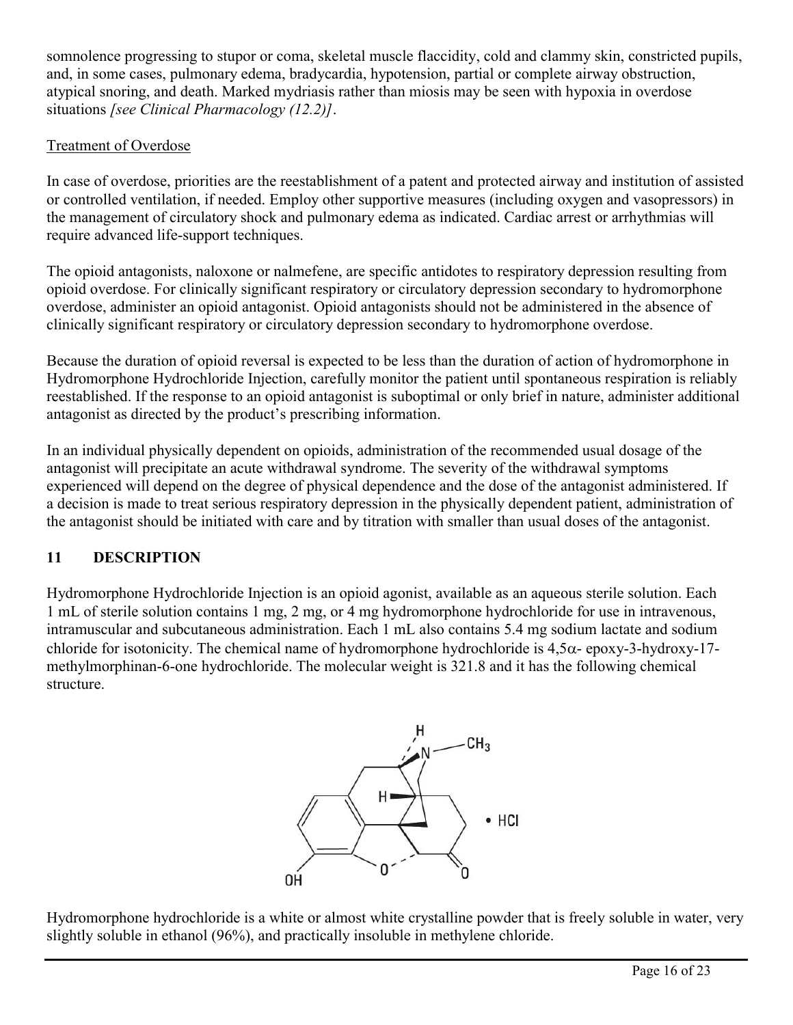somnolence progressing to stupor or coma, skeletal muscle flaccidity, cold and clammy skin, constricted pupils, and, in some cases, pulmonary edema, bradycardia, hypotension, partial or complete airway obstruction, atypical snoring, and death. Marked mydriasis rather than miosis may be seen with hypoxia in overdose situations *[see Clinical Pharmacology (12.2)]*.

## Treatment of Overdose

In case of overdose, priorities are the reestablishment of a patent and protected airway and institution of assisted or controlled ventilation, if needed. Employ other supportive measures (including oxygen and vasopressors) in the management of circulatory shock and pulmonary edema as indicated. Cardiac arrest or arrhythmias will require advanced life-support techniques.

The opioid antagonists, naloxone or nalmefene, are specific antidotes to respiratory depression resulting from opioid overdose. For clinically significant respiratory or circulatory depression secondary to hydromorphone overdose, administer an opioid antagonist. Opioid antagonists should not be administered in the absence of clinically significant respiratory or circulatory depression secondary to hydromorphone overdose.

Because the duration of opioid reversal is expected to be less than the duration of action of hydromorphone in Hydromorphone Hydrochloride Injection, carefully monitor the patient until spontaneous respiration is reliably reestablished. If the response to an opioid antagonist is suboptimal or only brief in nature, administer additional antagonist as directed by the product's prescribing information.

In an individual physically dependent on opioids, administration of the recommended usual dosage of the antagonist will precipitate an acute withdrawal syndrome. The severity of the withdrawal symptoms experienced will depend on the degree of physical dependence and the dose of the antagonist administered. If a decision is made to treat serious respiratory depression in the physically dependent patient, administration of the antagonist should be initiated with care and by titration with smaller than usual doses of the antagonist.

# **11 DESCRIPTION**

Hydromorphone Hydrochloride Injection is an opioid agonist, available as an aqueous sterile solution. Each 1 mL of sterile solution contains 1 mg, 2 mg, or 4 mg hydromorphone hydrochloride for use in intravenous, intramuscular and subcutaneous administration. Each 1 mL also contains 5.4 mg sodium lactate and sodium chloride for isotonicity. The chemical name of hydromorphone hydrochloride is  $4.5\alpha$ - epoxy-3-hydroxy-17methylmorphinan-6-one hydrochloride. The molecular weight is 321.8 and it has the following chemical structure.



Hydromorphone hydrochloride is a white or almost white crystalline powder that is freely soluble in water, very slightly soluble in ethanol (96%), and practically insoluble in methylene chloride.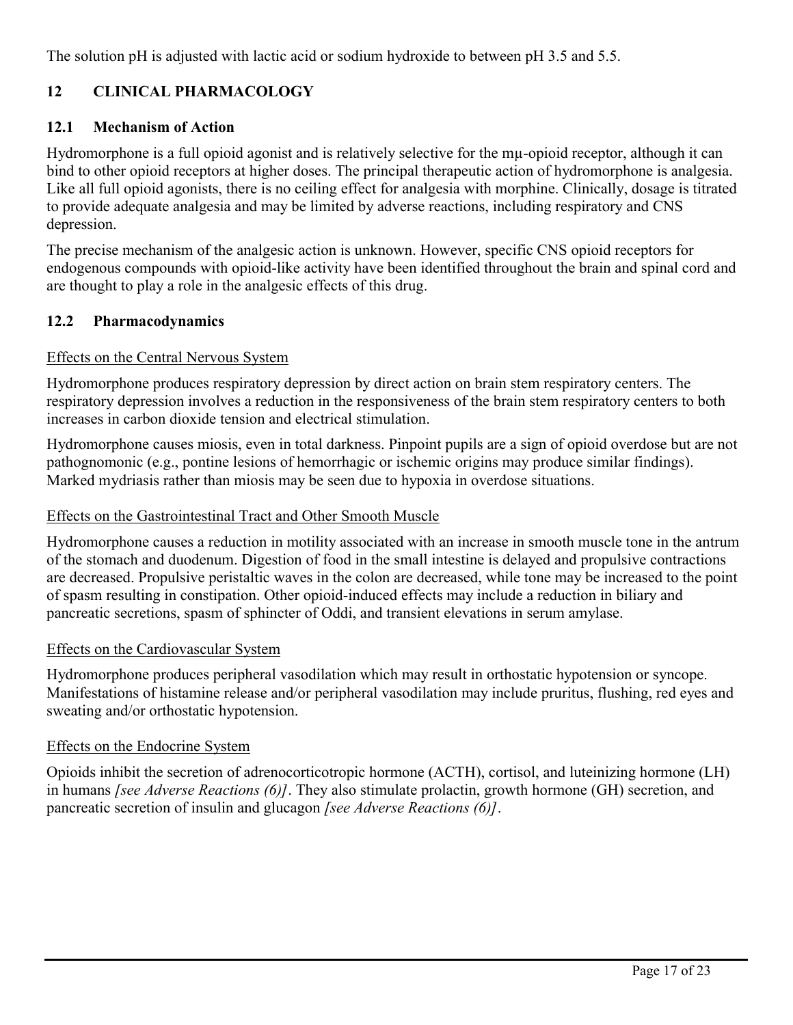The solution pH is adjusted with lactic acid or sodium hydroxide to between pH 3.5 and 5.5.

## **12 CLINICAL PHARMACOLOGY**

### **12.1 Mechanism of Action**

Hydromorphone is a full opioid agonist and is relatively selective for the mu-opioid receptor, although it can bind to other opioid receptors at higher doses. The principal therapeutic action of hydromorphone is analgesia. Like all full opioid agonists, there is no ceiling effect for analgesia with morphine. Clinically, dosage is titrated to provide adequate analgesia and may be limited by adverse reactions, including respiratory and CNS depression.

The precise mechanism of the analgesic action is unknown. However, specific CNS opioid receptors for endogenous compounds with opioid-like activity have been identified throughout the brain and spinal cord and are thought to play a role in the analgesic effects of this drug.

### **12.2 Pharmacodynamics**

#### Effects on the Central Nervous System

Hydromorphone produces respiratory depression by direct action on brain stem respiratory centers. The respiratory depression involves a reduction in the responsiveness of the brain stem respiratory centers to both increases in carbon dioxide tension and electrical stimulation.

Hydromorphone causes miosis, even in total darkness. Pinpoint pupils are a sign of opioid overdose but are not pathognomonic (e.g., pontine lesions of hemorrhagic or ischemic origins may produce similar findings). Marked mydriasis rather than miosis may be seen due to hypoxia in overdose situations.

#### Effects on the Gastrointestinal Tract and Other Smooth Muscle

Hydromorphone causes a reduction in motility associated with an increase in smooth muscle tone in the antrum of the stomach and duodenum. Digestion of food in the small intestine is delayed and propulsive contractions are decreased. Propulsive peristaltic waves in the colon are decreased, while tone may be increased to the point of spasm resulting in constipation. Other opioid-induced effects may include a reduction in biliary and pancreatic secretions, spasm of sphincter of Oddi, and transient elevations in serum amylase.

#### Effects on the Cardiovascular System

Hydromorphone produces peripheral vasodilation which may result in orthostatic hypotension or syncope. Manifestations of histamine release and/or peripheral vasodilation may include pruritus, flushing, red eyes and sweating and/or orthostatic hypotension.

#### Effects on the Endocrine System

Opioids inhibit the secretion of adrenocorticotropic hormone (ACTH), cortisol, and luteinizing hormone (LH) in humans *[see Adverse Reactions (6)]*. They also stimulate prolactin, growth hormone (GH) secretion, and pancreatic secretion of insulin and glucagon *[see Adverse Reactions (6)]*.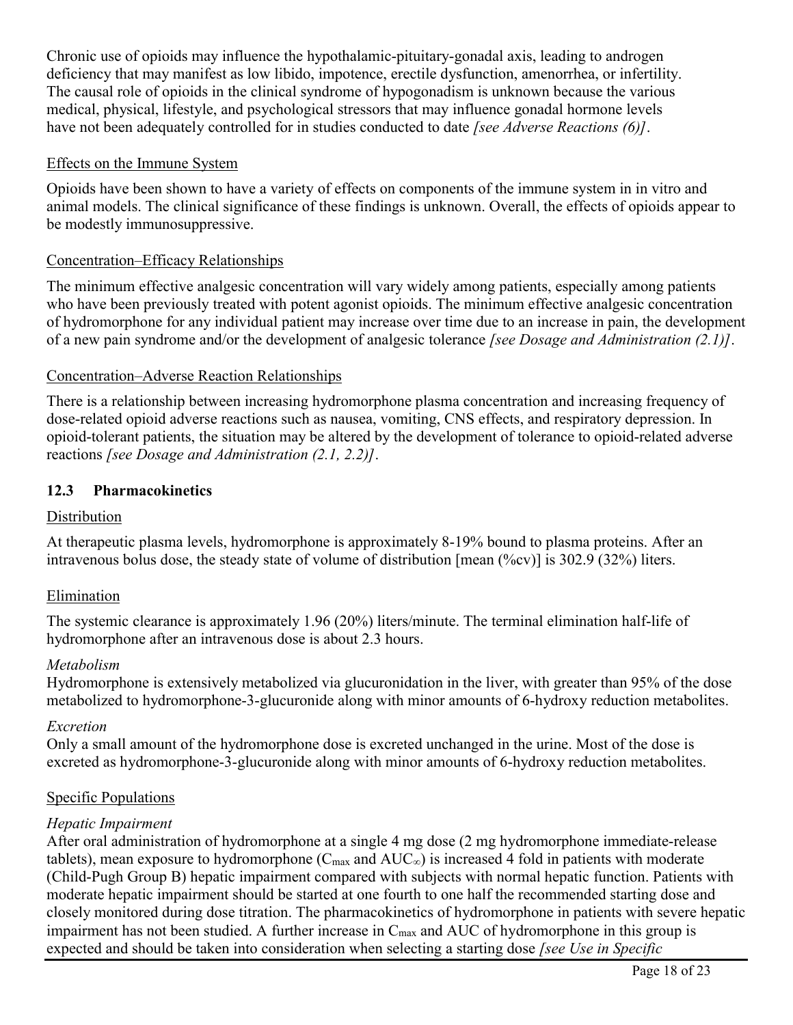Chronic use of opioids may influence the hypothalamic-pituitary-gonadal axis, leading to androgen deficiency that may manifest as low libido, impotence, erectile dysfunction, amenorrhea, or infertility. The causal role of opioids in the clinical syndrome of hypogonadism is unknown because the various medical, physical, lifestyle, and psychological stressors that may influence gonadal hormone levels have not been adequately controlled for in studies conducted to date *[see Adverse Reactions (6)]*.

### Effects on the Immune System

Opioids have been shown to have a variety of effects on components of the immune system in in vitro and animal models. The clinical significance of these findings is unknown. Overall, the effects of opioids appear to be modestly immunosuppressive.

### Concentration–Efficacy Relationships

The minimum effective analgesic concentration will vary widely among patients, especially among patients who have been previously treated with potent agonist opioids. The minimum effective analgesic concentration of hydromorphone for any individual patient may increase over time due to an increase in pain, the development of a new pain syndrome and/or the development of analgesic tolerance *[see Dosage and Administration (2.1)]*.

#### Concentration–Adverse Reaction Relationships

There is a relationship between increasing hydromorphone plasma concentration and increasing frequency of dose-related opioid adverse reactions such as nausea, vomiting, CNS effects, and respiratory depression. In opioid-tolerant patients, the situation may be altered by the development of tolerance to opioid-related adverse reactions *[see Dosage and Administration (2.1, 2.2)]*.

### **12.3 Pharmacokinetics**

### **Distribution**

At therapeutic plasma levels, hydromorphone is approximately 8-19% bound to plasma proteins. After an intravenous bolus dose, the steady state of volume of distribution [mean (%cv)] is 302.9 (32%) liters.

#### Elimination

The systemic clearance is approximately 1.96 (20%) liters/minute. The terminal elimination half-life of hydromorphone after an intravenous dose is about 2.3 hours.

#### *Metabolism*

Hydromorphone is extensively metabolized via glucuronidation in the liver, with greater than 95% of the dose metabolized to hydromorphone-3-glucuronide along with minor amounts of 6-hydroxy reduction metabolites.

#### *Excretion*

Only a small amount of the hydromorphone dose is excreted unchanged in the urine. Most of the dose is excreted as hydromorphone-3-glucuronide along with minor amounts of 6-hydroxy reduction metabolites.

#### Specific Populations

#### *Hepatic Impairment*

After oral administration of hydromorphone at a single 4 mg dose (2 mg hydromorphone immediate-release tablets), mean exposure to hydromorphone ( $C_{\text{max}}$  and  $AUC_{\infty}$ ) is increased 4 fold in patients with moderate (Child-Pugh Group B) hepatic impairment compared with subjects with normal hepatic function. Patients with moderate hepatic impairment should be started at one fourth to one half the recommended starting dose and closely monitored during dose titration. The pharmacokinetics of hydromorphone in patients with severe hepatic impairment has not been studied. A further increase in  $C_{\text{max}}$  and AUC of hydromorphone in this group is expected and should be taken into consideration when selecting a starting dose *[see Use in Specific*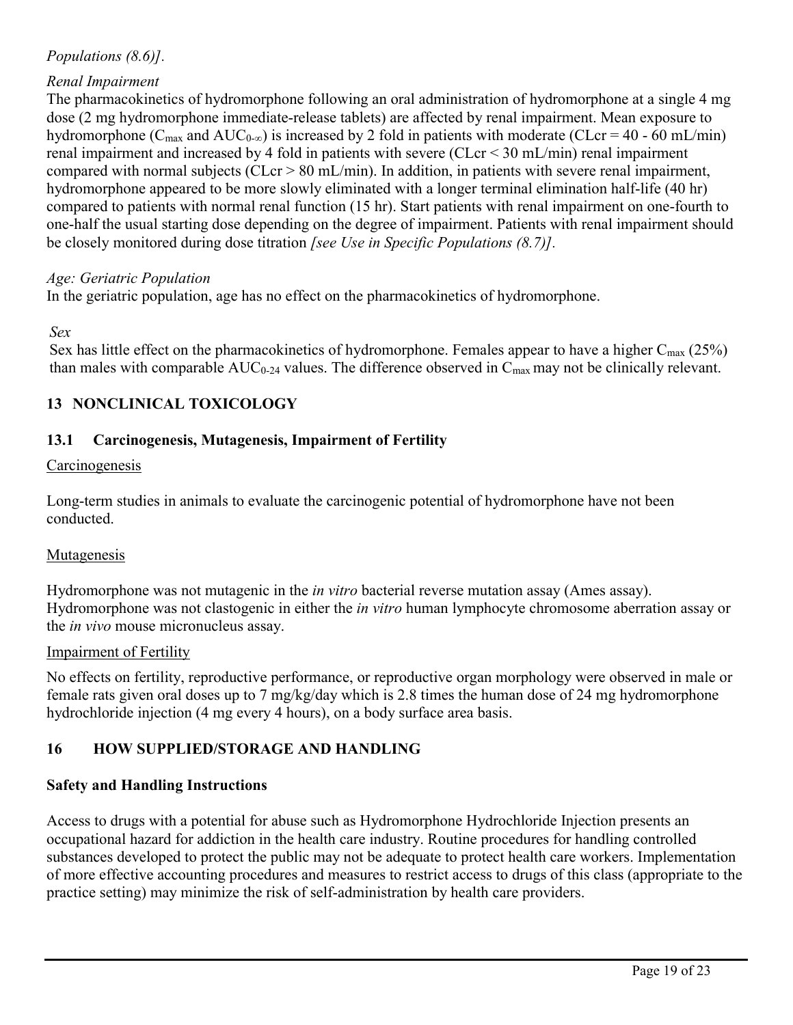## *Populations (8.6)].*

### *Renal Impairment*

The pharmacokinetics of hydromorphone following an oral administration of hydromorphone at a single 4 mg dose (2 mg hydromorphone immediate-release tablets) are affected by renal impairment. Mean exposure to hydromorphone ( $C_{\text{max}}$  and  $AUC_{0-\infty}$ ) is increased by 2 fold in patients with moderate (CLcr = 40 - 60 mL/min) renal impairment and increased by 4 fold in patients with severe (CLcr < 30 mL/min) renal impairment compared with normal subjects ( $CLcr > 80$  mL/min). In addition, in patients with severe renal impairment, hydromorphone appeared to be more slowly eliminated with a longer terminal elimination half-life (40 hr) compared to patients with normal renal function (15 hr). Start patients with renal impairment on one-fourth to one-half the usual starting dose depending on the degree of impairment. Patients with renal impairment should be closely monitored during dose titration *[see Use in Specific Populations (8.7)].*

#### *Age: Geriatric Population*

In the geriatric population, age has no effect on the pharmacokinetics of hydromorphone.

#### *Sex*

Sex has little effect on the pharmacokinetics of hydromorphone. Females appear to have a higher  $C_{\text{max}}$  (25%) than males with comparable  $AUC_{0-24}$  values. The difference observed in  $C_{\text{max}}$  may not be clinically relevant.

### **13 NONCLINICAL TOXICOLOGY**

#### **13.1 Carcinogenesis, Mutagenesis, Impairment of Fertility**

#### Carcinogenesis

Long-term studies in animals to evaluate the carcinogenic potential of hydromorphone have not been conducted.

#### **Mutagenesis**

Hydromorphone was not mutagenic in the *in vitro* bacterial reverse mutation assay (Ames assay). Hydromorphone was not clastogenic in either the *in vitro* human lymphocyte chromosome aberration assay or the *in vivo* mouse micronucleus assay.

#### Impairment of Fertility

No effects on fertility, reproductive performance, or reproductive organ morphology were observed in male or female rats given oral doses up to 7 mg/kg/day which is 2.8 times the human dose of 24 mg hydromorphone hydrochloride injection (4 mg every 4 hours), on a body surface area basis.

#### **16 HOW SUPPLIED/STORAGE AND HANDLING**

#### **Safety and Handling Instructions**

Access to drugs with a potential for abuse such as Hydromorphone Hydrochloride Injection presents an occupational hazard for addiction in the health care industry. Routine procedures for handling controlled substances developed to protect the public may not be adequate to protect health care workers. Implementation of more effective accounting procedures and measures to restrict access to drugs of this class (appropriate to the practice setting) may minimize the risk of self-administration by health care providers.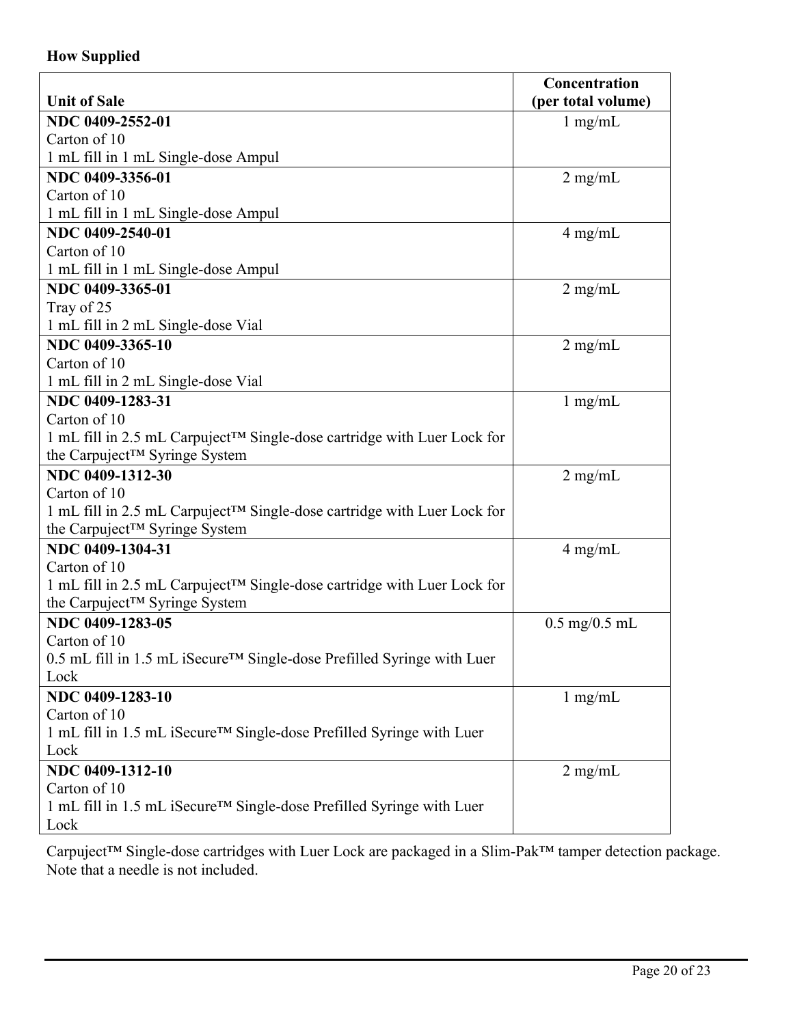## **How Supplied**

|                                                                                     | Concentration                   |
|-------------------------------------------------------------------------------------|---------------------------------|
| <b>Unit of Sale</b>                                                                 | (per total volume)              |
| NDC 0409-2552-01                                                                    | $1$ mg/mL                       |
| Carton of 10                                                                        |                                 |
| 1 mL fill in 1 mL Single-dose Ampul                                                 |                                 |
| NDC 0409-3356-01                                                                    | $2$ mg/mL                       |
| Carton of 10                                                                        |                                 |
| 1 mL fill in 1 mL Single-dose Ampul                                                 |                                 |
| NDC 0409-2540-01                                                                    | $4$ mg/mL                       |
| Carton of 10                                                                        |                                 |
| 1 mL fill in 1 mL Single-dose Ampul                                                 |                                 |
| NDC 0409-3365-01                                                                    | $2$ mg/mL                       |
| Tray of 25                                                                          |                                 |
| 1 mL fill in 2 mL Single-dose Vial                                                  |                                 |
| NDC 0409-3365-10                                                                    | $2$ mg/mL                       |
| Carton of 10                                                                        |                                 |
| 1 mL fill in 2 mL Single-dose Vial                                                  |                                 |
| NDC 0409-1283-31                                                                    | $1$ mg/mL                       |
| Carton of 10                                                                        |                                 |
| 1 mL fill in 2.5 mL Carpuject™ Single-dose cartridge with Luer Lock for             |                                 |
| the Carpuject™ Syringe System                                                       |                                 |
| NDC 0409-1312-30                                                                    | $2$ mg/mL                       |
| Carton of 10                                                                        |                                 |
| 1 mL fill in 2.5 mL Carpuject™ Single-dose cartridge with Luer Lock for             |                                 |
| the Carpuject™ Syringe System                                                       |                                 |
| NDC 0409-1304-31                                                                    | $4$ mg/mL                       |
| Carton of 10                                                                        |                                 |
| 1 mL fill in 2.5 mL Carpuject™ Single-dose cartridge with Luer Lock for             |                                 |
| the Carpuject™ Syringe System                                                       |                                 |
| NDC 0409-1283-05                                                                    | $0.5 \text{ mg}/0.5 \text{ mL}$ |
| Carton of 10                                                                        |                                 |
| 0.5 mL fill in 1.5 mL iSecure <sup>TM</sup> Single-dose Prefilled Syringe with Luer |                                 |
| Lock                                                                                |                                 |
| NDC 0409-1283-10                                                                    | $1$ mg/mL                       |
| Carton of 10                                                                        |                                 |
| 1 mL fill in 1.5 mL iSecure <sup>TM</sup> Single-dose Prefilled Syringe with Luer   |                                 |
| Lock                                                                                |                                 |
| NDC 0409-1312-10                                                                    | $2$ mg/mL                       |
| Carton of 10                                                                        |                                 |
| 1 mL fill in 1.5 mL iSecure <sup>TM</sup> Single-dose Prefilled Syringe with Luer   |                                 |
| Lock                                                                                |                                 |

Carpuject™ Single-dose cartridges with Luer Lock are packaged in a Slim-Pak™ tamper detection package. Note that a needle is not included.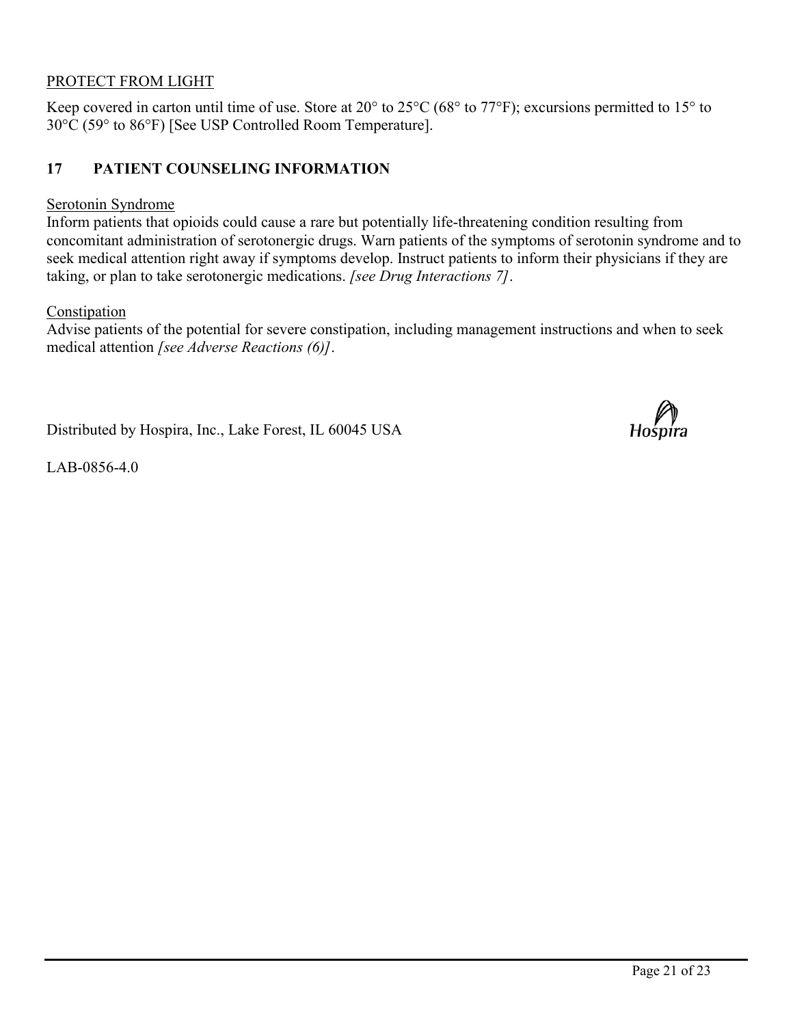#### PROTECT FROM LIGHT

Keep covered in carton until time of use. Store at 20° to 25°C (68° to 77°F); excursions permitted to 15° to 30°C (59° to 86°F) [See USP Controlled Room Temperature].

## **17 PATIENT COUNSELING INFORMATION**

#### Serotonin Syndrome

Inform patients that opioids could cause a rare but potentially life-threatening condition resulting from concomitant administration of serotonergic drugs. Warn patients of the symptoms of serotonin syndrome and to seek medical attention right away if symptoms develop. Instruct patients to inform their physicians if they are taking, or plan to take serotonergic medications. *[see Drug Interactions 7]*.

#### Constipation

Advise patients of the potential for severe constipation, including management instructions and when to seek medical attention *[see Adverse Reactions (6)]*.

Distributed by Hospira, Inc., Lake Forest, IL 60045 USA

Hośpíra

LAB-0856-4.0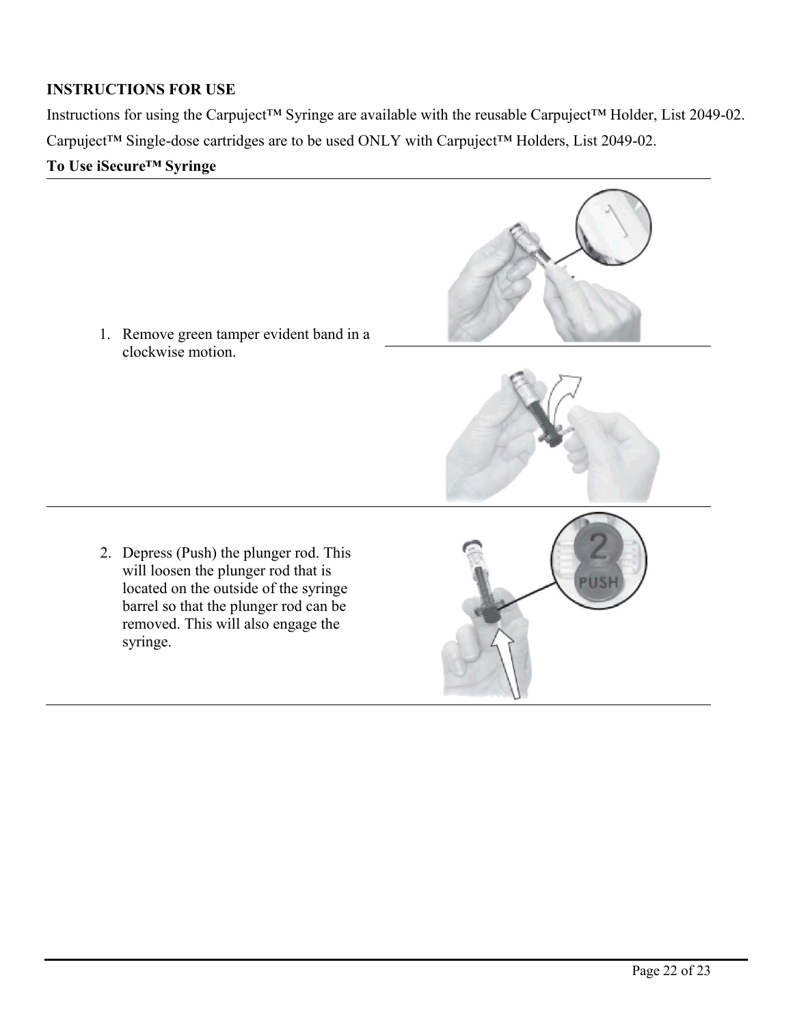## **INSTRUCTIONS FOR USE**

Instructions for using the Carpuject™ Syringe are available with the reusable Carpuject™ Holder, List 2049-02. Carpuject™ Single-dose cartridges are to be used ONLY with Carpuject™ Holders, List 2049-02.

## **To Use iSecure™ Syringe**

1. Remove green tamper evident band in a clockwise motion.

2. Depress (Push) the plunger rod. This will loosen the plunger rod that is located on the outside of the syringe barrel so that the plunger rod can be removed. This will also engage the syringe.